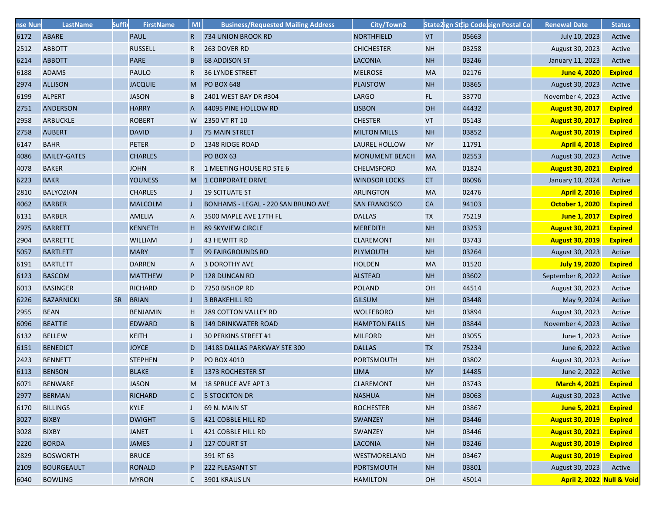| nse Num | LastName            | <b>Suffi</b> | <b>FirstName</b> | <b>MI</b>    | <b>Business/Requested Mailing Address</b> | City/Town2            |           | State2ign Sttip Codeleign Postal Co | <b>Renewal Date</b>       | <b>Status</b>  |
|---------|---------------------|--------------|------------------|--------------|-------------------------------------------|-----------------------|-----------|-------------------------------------|---------------------------|----------------|
| 6172    | <b>ABARE</b>        |              | <b>PAUL</b>      | $\mathsf{R}$ | <b>734 UNION BROOK RD</b>                 | <b>NORTHFIELD</b>     | <b>VT</b> | 05663                               | July 10, 2023             | Active         |
| 2512    | <b>ABBOTT</b>       |              | <b>RUSSELL</b>   | R            | 263 DOVER RD                              | <b>CHICHESTER</b>     | <b>NH</b> | 03258                               | August 30, 2023           | Active         |
| 6214    | <b>ABBOTT</b>       |              | <b>PARE</b>      | B            | <b>68 ADDISON ST</b>                      | <b>LACONIA</b>        | <b>NH</b> | 03246                               | January 11, 2023          | Active         |
| 6188    | <b>ADAMS</b>        |              | <b>PAULO</b>     | R            | <b>36 LYNDE STREET</b>                    | <b>MELROSE</b>        | <b>MA</b> | 02176                               | <b>June 4, 2020</b>       | <b>Expired</b> |
| 2974    | <b>ALLISON</b>      |              | <b>JACQUIE</b>   | M            | <b>PO BOX 648</b>                         | <b>PLAISTOW</b>       | <b>NH</b> | 03865                               | August 30, 2023           | Active         |
| 6199    | <b>ALPERT</b>       |              | <b>JASON</b>     | B            | 2401 WEST BAY DR #304                     | <b>LARGO</b>          | FL.       | 33770                               | November 4, 2023          | Active         |
| 2751    | <b>ANDERSON</b>     |              | <b>HARRY</b>     | A            | 44095 PINE HOLLOW RD                      | <b>LISBON</b>         | OH        | 44432                               | <b>August 30, 2017</b>    | <b>Expired</b> |
| 2958    | <b>ARBUCKLE</b>     |              | <b>ROBERT</b>    | W            | 2350 VT RT 10                             | <b>CHESTER</b>        | VT        | 05143                               | <b>August 30, 2017</b>    | <b>Expired</b> |
| 2758    | <b>AUBERT</b>       |              | <b>DAVID</b>     |              | <b>75 MAIN STREET</b>                     | <b>MILTON MILLS</b>   | <b>NH</b> | 03852                               | <b>August 30, 2019</b>    | <b>Expired</b> |
| 6147    | <b>BAHR</b>         |              | <b>PETER</b>     | D            | 1348 RIDGE ROAD                           | <b>LAUREL HOLLOW</b>  | <b>NY</b> | 11791                               | <b>April 4, 2018</b>      | <b>Expired</b> |
| 4086    | <b>BAILEY-GATES</b> |              | <b>CHARLES</b>   |              | PO BOX 63                                 | <b>MONUMENT BEACH</b> | <b>MA</b> | 02553                               | August 30, 2023           | Active         |
| 4078    | <b>BAKER</b>        |              | <b>JOHN</b>      | R            | 1 MEETING HOUSE RD STE 6                  | <b>CHELMSFORD</b>     | MA        | 01824                               | <b>August 30, 2021</b>    | <b>Expired</b> |
| 6223    | <b>BAKR</b>         |              | <b>YOUNESS</b>   |              | M 1 CORPORATE DRIVE                       | <b>WINDSOR LOCKS</b>  | <b>CT</b> | 06096                               | January 10, 2024          | Active         |
| 2810    | <b>BALYOZIAN</b>    |              | <b>CHARLES</b>   |              | <b>19 SCITUATE ST</b>                     | <b>ARLINGTON</b>      | <b>MA</b> | 02476                               | <b>April 2, 2016</b>      | <b>Expired</b> |
| 4062    | <b>BARBER</b>       |              | <b>MALCOLM</b>   |              | BONHAMS - LEGAL - 220 SAN BRUNO AVE       | <b>SAN FRANCISCO</b>  | CA        | 94103                               | <b>October 1, 2020</b>    | <b>Expired</b> |
| 6131    | <b>BARBER</b>       |              | <b>AMELIA</b>    | A            | 3500 MAPLE AVE 17TH FL                    | <b>DALLAS</b>         | TX        | 75219                               | <b>June 1, 2017</b>       | <b>Expired</b> |
| 2975    | <b>BARRETT</b>      |              | <b>KENNETH</b>   | H            | <b>89 SKYVIEW CIRCLE</b>                  | <b>MEREDITH</b>       | <b>NH</b> | 03253                               | <b>August 30, 2021</b>    | <b>Expired</b> |
| 2904    | <b>BARRETTE</b>     |              | <b>WILLIAM</b>   |              | <b>43 HEWITT RD</b>                       | <b>CLAREMONT</b>      | NH        | 03743                               | <b>August 30, 2019</b>    | <b>Expired</b> |
| 5057    | <b>BARTLETT</b>     |              | <b>MARY</b>      |              | <b>99 FAIRGROUNDS RD</b>                  | <b>PLYMOUTH</b>       | <b>NH</b> | 03264                               | August 30, 2023           | Active         |
| 6191    | <b>BARTLETT</b>     |              | <b>DARREN</b>    | A            | <b>3 DOROTHY AVE</b>                      | <b>HOLDEN</b>         | <b>MA</b> | 01520                               | <b>July 19, 2020</b>      | <b>Expired</b> |
| 6123    | <b>BASCOM</b>       |              | <b>MATTHEW</b>   | P            | 128 DUNCAN RD                             | <b>ALSTEAD</b>        | <b>NH</b> | 03602                               | September 8, 2022         | Active         |
| 6013    | <b>BASINGER</b>     |              | <b>RICHARD</b>   | D            | 7250 BISHOP RD                            | <b>POLAND</b>         | OH        | 44514                               | August 30, 2023           | Active         |
| 6226    | <b>BAZARNICKI</b>   | <b>SR</b>    | <b>BRIAN</b>     |              | <b>3 BRAKEHILL RD</b>                     | <b>GILSUM</b>         | <b>NH</b> | 03448                               | May 9, 2024               | Active         |
| 2955    | <b>BEAN</b>         |              | <b>BENJAMIN</b>  | H.           | <b>289 COTTON VALLEY RD</b>               | <b>WOLFEBORO</b>      | NH        | 03894                               | August 30, 2023           | Active         |
| 6096    | <b>BEATTIE</b>      |              | <b>EDWARD</b>    | B            | <b>149 DRINKWATER ROAD</b>                | <b>HAMPTON FALLS</b>  | <b>NH</b> | 03844                               | November 4, 2023          | Active         |
| 6132    | <b>BELLEW</b>       |              | <b>KEITH</b>     |              | 30 PERKINS STREET #1                      | <b>MILFORD</b>        | <b>NH</b> | 03055                               | June 1, 2023              | Active         |
| 6151    | <b>BENEDICT</b>     |              | <b>JOYCE</b>     | D            | 14185 DALLAS PARKWAY STE 300              | <b>DALLAS</b>         | <b>TX</b> | 75234                               | June 6, 2022              | Active         |
| 2423    | <b>BENNETT</b>      |              | <b>STEPHEN</b>   | P            | PO BOX 4010                               | <b>PORTSMOUTH</b>     | NH        | 03802                               | August 30, 2023           | Active         |
| 6113    | <b>BENSON</b>       |              | <b>BLAKE</b>     | E.           | 1373 ROCHESTER ST                         | <b>LIMA</b>           | <b>NY</b> | 14485                               | June 2, 2022              | Active         |
| 6071    | <b>BENWARE</b>      |              | <b>JASON</b>     |              | M 18 SPRUCE AVE APT 3                     | <b>CLAREMONT</b>      | <b>NH</b> | 03743                               | <b>March 4, 2021</b>      | <b>Expired</b> |
| 2977    | <b>BERMAN</b>       |              | <b>RICHARD</b>   |              | 5 STOCKTON DR                             | <b>NASHUA</b>         | <b>NH</b> | 03063                               | August 30, 2023           | Active         |
| 6170    | <b>BILLINGS</b>     |              | <b>KYLE</b>      |              | 69 N. MAIN ST                             | <b>ROCHESTER</b>      | <b>NH</b> | 03867                               | June 5, 2021              | <b>Expired</b> |
| 3027    | <b>BIXBY</b>        |              | <b>DWIGHT</b>    | G            | 421 COBBLE HILL RD                        | <b>SWANZEY</b>        | <b>NH</b> | 03446                               | <b>August 30, 2019</b>    | <b>Expired</b> |
| 3028    | <b>BIXBY</b>        |              | <b>JANET</b>     |              | 421 COBBLE HILL RD                        | SWANZEY               | <b>NH</b> | 03446                               | <b>August 30, 2021</b>    | <b>Expired</b> |
| 2220    | <b>BORDA</b>        |              | <b>JAMES</b>     |              | 127 COURT ST                              | <b>LACONIA</b>        | <b>NH</b> | 03246                               | <b>August 30, 2019</b>    | <b>Expired</b> |
| 2829    | <b>BOSWORTH</b>     |              | <b>BRUCE</b>     |              | 391 RT 63                                 | WESTMORELAND          | <b>NH</b> | 03467                               | <b>August 30, 2019</b>    | <b>Expired</b> |
| 2109    | <b>BOURGEAULT</b>   |              | <b>RONALD</b>    | P            | 222 PLEASANT ST                           | <b>PORTSMOUTH</b>     | <b>NH</b> | 03801                               | August 30, 2023           | Active         |
| 6040    | <b>BOWLING</b>      |              | <b>MYRON</b>     | C            | 3901 KRAUS LN                             | <b>HAMILTON</b>       | OH        | 45014                               | April 2, 2022 Null & Void |                |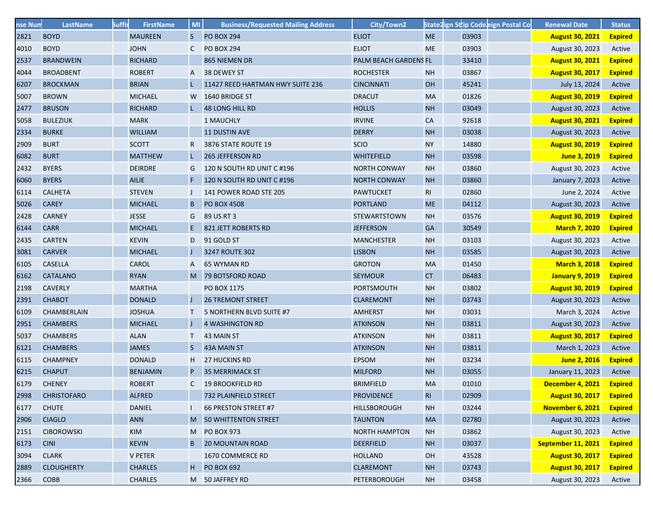| nse Num | LastName           | <b>Suffi</b> | <b>FirstName</b> | MI           | <b>Business/Requested Mailing Address</b> | City/Town2            |           |       | State2ign Sttip Codeeign Postal Co | <b>Renewal Date</b>    | <b>Status</b>  |
|---------|--------------------|--------------|------------------|--------------|-------------------------------------------|-----------------------|-----------|-------|------------------------------------|------------------------|----------------|
| 2821    | <b>BOYD</b>        |              | <b>MAUREEN</b>   | S.           | <b>PO BOX 294</b>                         | <b>ELIOT</b>          | <b>ME</b> | 03903 |                                    | <b>August 30, 2021</b> | <b>Expired</b> |
| 4010    | <b>BOYD</b>        |              | <b>JOHN</b>      | $\mathsf{C}$ | <b>PO BOX 294</b>                         | <b>ELIOT</b>          | <b>ME</b> | 03903 |                                    | August 30, 2023        | Active         |
| 2537    | <b>BRANDWEIN</b>   |              | <b>RICHARD</b>   |              | 865 NIEMEN DR                             | PALM BEACH GARDENS FL |           | 33410 |                                    | <b>August 30, 2021</b> | <b>Expired</b> |
| 4044    | <b>BROADBENT</b>   |              | <b>ROBERT</b>    | A            | 38 DEWEY ST                               | <b>ROCHESTER</b>      | <b>NH</b> | 03867 |                                    | <b>August 30, 2017</b> | <b>Expired</b> |
| 6207    | <b>BROCKMAN</b>    |              | <b>BRIAN</b>     |              | 11427 REED HARTMAN HWY SUITE 236          | <b>CINCINNATI</b>     | OH        | 45241 |                                    | July 13, 2024          | Active         |
| 5007    | <b>BROWN</b>       |              | <b>MICHAEL</b>   |              | W 1640 BRIDGE ST                          | <b>DRACUT</b>         | MA        | 01826 |                                    | <b>August 30, 2019</b> | <b>Expired</b> |
| 2477    | <b>BRUSON</b>      |              | <b>RICHARD</b>   |              | <b>48 LONG HILL RD</b>                    | <b>HOLLIS</b>         | <b>NH</b> | 03049 |                                    | August 30, 2023        | Active         |
| 5058    | <b>BULEZIUK</b>    |              | <b>MARK</b>      |              | 1 MAUCHLY                                 | <b>IRVINE</b>         | <b>CA</b> | 92618 |                                    | <b>August 30, 2021</b> | <b>Expired</b> |
| 2334    | <b>BURKE</b>       |              | <b>WILLIAM</b>   |              | <b>11 DUSTIN AVE</b>                      | <b>DERRY</b>          | <b>NH</b> | 03038 |                                    | August 30, 2023        | Active         |
| 2909    | <b>BURT</b>        |              | <b>SCOTT</b>     | R            | 3876 STATE ROUTE 19                       | <b>SCIO</b>           | <b>NY</b> | 14880 |                                    | <b>August 30, 2019</b> | <b>Expired</b> |
| 6082    | <b>BURT</b>        |              | <b>MATTHEW</b>   | L.           | <b>265 JEFFERSON RD</b>                   | <b>WHITEFIELD</b>     | <b>NH</b> | 03598 |                                    | June 3, 2019           | <b>Expired</b> |
| 2432    | <b>BYERS</b>       |              | <b>DEIRDRE</b>   | G            | 120 N SOUTH RD UNIT C #196                | <b>NORTH CONWAY</b>   | <b>NH</b> | 03860 |                                    | August 30, 2023        | Active         |
| 6060    | <b>BYERS</b>       |              | <b>AILIE</b>     |              | 120 N SOUTH RD UNIT C #196                | <b>NORTH CONWAY</b>   | <b>NH</b> | 03860 |                                    | January 7, 2023        | Active         |
| 6114    | <b>CALHETA</b>     |              | <b>STEVEN</b>    |              | 141 POWER ROAD STE 205                    | <b>PAWTUCKET</b>      | RI.       | 02860 |                                    | June 2, 2024           | Active         |
| 5026    | <b>CAREY</b>       |              | <b>MICHAEL</b>   | B            | <b>PO BOX 4508</b>                        | <b>PORTLAND</b>       | <b>ME</b> | 04112 |                                    | August 30, 2023        | Active         |
| 2428    | <b>CARNEY</b>      |              | <b>JESSE</b>     | G            | 89 US RT 3                                | <b>STEWARTSTOWN</b>   | <b>NH</b> | 03576 |                                    | <b>August 30, 2019</b> | <b>Expired</b> |
| 6144    | <b>CARR</b>        |              | <b>MICHAEL</b>   | E            | 821 JETT ROBERTS RD                       | <b>JEFFERSON</b>      | <b>GA</b> | 30549 |                                    | <b>March 7, 2020</b>   | <b>Expired</b> |
| 2435    | <b>CARTEN</b>      |              | <b>KEVIN</b>     | D            | 91 GOLD ST                                | <b>MANCHESTER</b>     | <b>NH</b> | 03103 |                                    | August 30, 2023        | Active         |
| 3081    | <b>CARVER</b>      |              | <b>MICHAEL</b>   |              | 3247 ROUTE 302                            | <b>LISBON</b>         | <b>NH</b> | 03585 |                                    | August 30, 2023        | Active         |
| 6105    | <b>CASELLA</b>     |              | CAROL            | A            | <b>65 WYMAN RD</b>                        | <b>GROTON</b>         | MA        | 01450 |                                    | <b>March 3, 2018</b>   | <b>Expired</b> |
| 6162    | <b>CATALANO</b>    |              | <b>RYAN</b>      |              | M 79 BOTSFORD ROAD                        | <b>SEYMOUR</b>        | <b>CT</b> | 06483 |                                    | <b>January 9, 2019</b> | <b>Expired</b> |
| 2198    | <b>CAVERLY</b>     |              | <b>MARTHA</b>    |              | PO BOX 1175                               | <b>PORTSMOUTH</b>     | <b>NH</b> | 03802 |                                    | <b>August 30, 2019</b> | <b>Expired</b> |
| 2391    | <b>CHABOT</b>      |              | <b>DONALD</b>    |              | <b>26 TREMONT STREET</b>                  | <b>CLAREMONT</b>      | <b>NH</b> | 03743 |                                    | August 30, 2023        | Active         |
| 6109    | <b>CHAMBERLAIN</b> |              | <b>JOSHUA</b>    |              | 5 NORTHERN BLVD SUITE #7                  | <b>AMHERST</b>        | <b>NH</b> | 03031 |                                    | March 3, 2024          | Active         |
| 2951    | <b>CHAMBERS</b>    |              | <b>MICHAEL</b>   |              | 4 WASHINGTON RD                           | <b>ATKINSON</b>       | <b>NH</b> | 03811 |                                    | August 30, 2023        | Active         |
| 5037    | <b>CHAMBERS</b>    |              | <b>ALAN</b>      | T.           | 43 MAIN ST                                | <b>ATKINSON</b>       | <b>NH</b> | 03811 |                                    | <b>August 30, 2017</b> | <b>Expired</b> |
| 6121    | <b>CHAMBERS</b>    |              | <b>JAMES</b>     | S.           | 43A MAIN ST                               | <b>ATKINSON</b>       | <b>NH</b> | 03811 |                                    | March 1, 2023          | Active         |
| 6115    | <b>CHAMPNEY</b>    |              | <b>DONALD</b>    | H            | <b>27 HUCKINS RD</b>                      | <b>EPSOM</b>          | <b>NH</b> | 03234 |                                    | June 2, 2016           | <b>Expired</b> |
| 6215    | <b>CHAPUT</b>      |              | <b>BENJAMIN</b>  | P            | <b>35 MERRIMACK ST</b>                    | <b>MILFORD</b>        | <b>NH</b> | 03055 |                                    | January 11, 2023       | Active         |
| 6179    | <b>CHENEY</b>      |              | <b>ROBERT</b>    |              | C 19 BROOKFIELD RD                        | <b>BRIMFIELD</b>      | <b>MA</b> | 01010 |                                    | December 4, 2021       | <b>Expired</b> |
| 2998    | <b>CHRISTOFARO</b> |              | <b>ALFRED</b>    |              | 732 PLAINFIELD STREET                     | <b>PROVIDENCE</b>     | RI        | 02909 |                                    | <b>August 30, 2017</b> | <b>Expired</b> |
| 6177    | <b>CHUTE</b>       |              | <b>DANIEL</b>    |              | 66 PRESTON STREET #7                      | <b>HILLSBOROUGH</b>   | <b>NH</b> | 03244 |                                    | November 6, 2021       | <b>Expired</b> |
| 2906    | <b>CIAGLO</b>      |              | <b>ANN</b>       |              | M 50 WHITTENTON STREET                    | <b>TAUNTON</b>        | <b>MA</b> | 02780 |                                    | August 30, 2023        | Active         |
| 2151    | <b>CIBOROWSKI</b>  |              | <b>KIM</b>       | M            | <b>PO BOX 973</b>                         | <b>NORTH HAMPTON</b>  | <b>NH</b> | 03862 |                                    | August 30, 2023        | Active         |
| 6173    | <b>CINI</b>        |              | <b>KEVIN</b>     | B            | <b>20 MOUNTAIN ROAD</b>                   | <b>DEERFIELD</b>      | NH        | 03037 |                                    | September 11, 2021     | <b>Expired</b> |
| 3094    | <b>CLARK</b>       |              | <b>V PETER</b>   |              | 1670 COMMERCE RD                          | <b>HOLLAND</b>        | OH        | 43528 |                                    | <b>August 30, 2017</b> | <b>Expired</b> |
| 2889    | <b>CLOUGHERTY</b>  |              | <b>CHARLES</b>   | H.           | <b>PO BOX 692</b>                         | <b>CLAREMONT</b>      | <b>NH</b> | 03743 |                                    | <b>August 30, 2017</b> | <b>Expired</b> |
| 2366    | <b>COBB</b>        |              | <b>CHARLES</b>   |              | M 50 JAFFREY RD                           | <b>PETERBOROUGH</b>   | <b>NH</b> | 03458 |                                    | August 30, 2023        | Active         |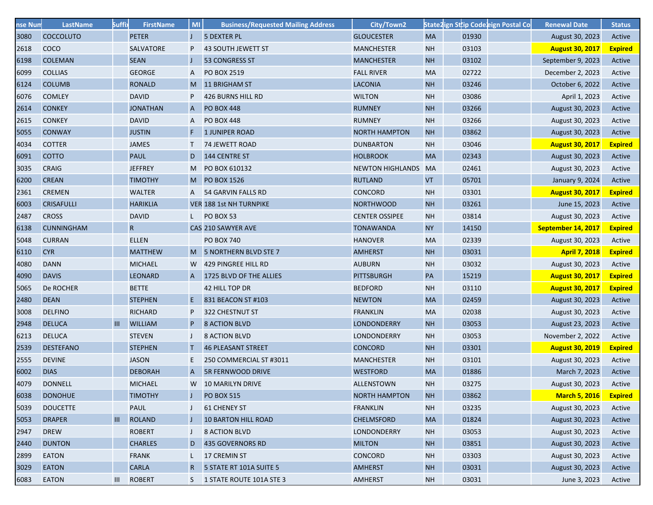| nse Num | <b>LastName</b>   | <b>Suffi</b> | <b>FirstName</b> | <b>MI</b>    | <b>Business/Requested Mailing Address</b> | City/Town2              |           |       | State2ign Sttip Code eign Postal Co | <b>Renewal Date</b>    | <b>Status</b>  |
|---------|-------------------|--------------|------------------|--------------|-------------------------------------------|-------------------------|-----------|-------|-------------------------------------|------------------------|----------------|
| 3080    | <b>COCCOLUTO</b>  |              | <b>PETER</b>     |              | 5 DEXTER PL                               | <b>GLOUCESTER</b>       | <b>MA</b> | 01930 |                                     | August 30, 2023        | Active         |
| 2618    | COCO              |              | SALVATORE        | P            | 43 SOUTH JEWETT ST                        | <b>MANCHESTER</b>       | <b>NH</b> | 03103 |                                     | <b>August 30, 2017</b> | <b>Expired</b> |
| 6198    | <b>COLEMAN</b>    |              | <b>SEAN</b>      |              | <b>53 CONGRESS ST</b>                     | <b>MANCHESTER</b>       | NH        | 03102 |                                     | September 9, 2023      | Active         |
| 6099    | <b>COLLIAS</b>    |              | <b>GEORGE</b>    | A            | PO BOX 2519                               | <b>FALL RIVER</b>       | <b>MA</b> | 02722 |                                     | December 2, 2023       | Active         |
| 6124    | <b>COLUMB</b>     |              | <b>RONALD</b>    | M            | 11 BRIGHAM ST                             | <b>LACONIA</b>          | <b>NH</b> | 03246 |                                     | October 6, 2022        | Active         |
| 6076    | <b>COMLEY</b>     |              | <b>DAVID</b>     | P            | <b>426 BURNS HILL RD</b>                  | <b>WILTON</b>           | <b>NH</b> | 03086 |                                     | April 1, 2023          | Active         |
| 2614    | <b>CONKEY</b>     |              | <b>JONATHAN</b>  | A            | <b>PO BOX 448</b>                         | <b>RUMNEY</b>           | <b>NH</b> | 03266 |                                     | August 30, 2023        | Active         |
| 2615    | <b>CONKEY</b>     |              | <b>DAVID</b>     | A            | <b>PO BOX 448</b>                         | <b>RUMNEY</b>           | <b>NH</b> | 03266 |                                     | August 30, 2023        | Active         |
| 5055    | <b>CONWAY</b>     |              | <b>JUSTIN</b>    | F            | <b>1 JUNIPER ROAD</b>                     | <b>NORTH HAMPTON</b>    | <b>NH</b> | 03862 |                                     | August 30, 2023        | Active         |
| 4034    | <b>COTTER</b>     |              | <b>JAMES</b>     |              | 74 JEWETT ROAD                            | <b>DUNBARTON</b>        | <b>NH</b> | 03046 |                                     | <b>August 30, 2017</b> | <b>Expired</b> |
| 6091    | <b>COTTO</b>      |              | <b>PAUL</b>      | D            | 144 CENTRE ST                             | <b>HOLBROOK</b>         | <b>MA</b> | 02343 |                                     | August 30, 2023        | Active         |
| 3035    | <b>CRAIG</b>      |              | <b>JEFFREY</b>   |              | M PO BOX 610132                           | <b>NEWTON HIGHLANDS</b> | <b>MA</b> | 02461 |                                     | August 30, 2023        | Active         |
| 6200    | <b>CREAN</b>      |              | <b>TIMOTHY</b>   |              | M PO BOX 1526                             | <b>RUTLAND</b>          | VT        | 05701 |                                     | January 9, 2024        | Active         |
| 2361    | <b>CREMEN</b>     |              | <b>WALTER</b>    |              | A 54 GARVIN FALLS RD                      | CONCORD                 | <b>NH</b> | 03301 |                                     | <b>August 30, 2017</b> | <b>Expired</b> |
| 6003    | <b>CRISAFULLI</b> |              | <b>HARIKLIA</b>  |              | VER 188 1st NH TURNPIKE                   | <b>NORTHWOOD</b>        | <b>NH</b> | 03261 |                                     | June 15, 2023          | Active         |
| 2487    | <b>CROSS</b>      |              | <b>DAVID</b>     |              | L PO BOX 53                               | <b>CENTER OSSIPEE</b>   | <b>NH</b> | 03814 |                                     | August 30, 2023        | Active         |
| 6138    | <b>CUNNINGHAM</b> |              | $R_{\parallel}$  |              | CAS 210 SAWYER AVE                        | <b>TONAWANDA</b>        | <b>NY</b> | 14150 |                                     | September 14, 2017     | <b>Expired</b> |
| 5048    | <b>CURRAN</b>     |              | <b>ELLEN</b>     |              | <b>PO BOX 740</b>                         | <b>HANOVER</b>          | <b>MA</b> | 02339 |                                     | August 30, 2023        | Active         |
| 6110    | <b>CYR</b>        |              | <b>MATTHEW</b>   |              | M 5 NORTHERN BLVD STE 7                   | <b>AMHERST</b>          | <b>NH</b> | 03031 |                                     | <b>April 7, 2018</b>   | <b>Expired</b> |
| 4080    | <b>DANN</b>       |              | <b>MICHAEL</b>   | W            | 429 PINGREE HILL RD                       | <b>AUBURN</b>           | <b>NH</b> | 03032 |                                     | August 30, 2023        | Active         |
| 4090    | <b>DAVIS</b>      |              | <b>LEONARD</b>   | $\mathsf{A}$ | 1725 BLVD OF THE ALLIES                   | <b>PITTSBURGH</b>       | PA        | 15219 |                                     | <b>August 30, 2017</b> | <b>Expired</b> |
| 5065    | De ROCHER         |              | <b>BETTE</b>     |              | 42 HILL TOP DR                            | <b>BEDFORD</b>          | <b>NH</b> | 03110 |                                     | <b>August 30, 2017</b> | <b>Expired</b> |
| 2480    | <b>DEAN</b>       |              | <b>STEPHEN</b>   | E.           | 831 BEACON ST #103                        | <b>NEWTON</b>           | <b>MA</b> | 02459 |                                     | August 30, 2023        | Active         |
| 3008    | <b>DELFINO</b>    |              | <b>RICHARD</b>   | P            | 322 CHESTNUT ST                           | <b>FRANKLIN</b>         | <b>MA</b> | 02038 |                                     | August 30, 2023        | Active         |
| 2948    | <b>DELUCA</b>     | III          | <b>WILLIAM</b>   | P            | <b>8 ACTION BLVD</b>                      | LONDONDERRY             | <b>NH</b> | 03053 |                                     | August 23, 2023        | Active         |
| 6213    | <b>DELUCA</b>     |              | <b>STEVEN</b>    |              | <b>8 ACTION BLVD</b>                      | LONDONDERRY             | <b>NH</b> | 03053 |                                     | November 2, 2022       | Active         |
| 2539    | <b>DESTEFANO</b>  |              | <b>STEPHEN</b>   |              | <b>46 PLEASANT STREET</b>                 | <b>CONCORD</b>          | <b>NH</b> | 03301 |                                     | <b>August 30, 2019</b> | <b>Expired</b> |
| 2555    | <b>DEVINE</b>     |              | <b>JASON</b>     | E.           | 250 COMMERCIAL ST #3011                   | <b>MANCHESTER</b>       | <b>NH</b> | 03101 |                                     | August 30, 2023        | Active         |
| 6002    | <b>DIAS</b>       |              | <b>DEBORAH</b>   | A            | <b>5R FERNWOOD DRIVE</b>                  | <b>WESTFORD</b>         | <b>MA</b> | 01886 |                                     | March 7, 2023          | Active         |
| 4079    | <b>DONNELL</b>    |              | <b>MICHAEL</b>   |              | W 10 MARILYN DRIVE                        | <b>ALLENSTOWN</b>       | <b>NH</b> | 03275 |                                     | August 30, 2023        | Active         |
| 6038    | <b>DONOHUE</b>    |              | <b>TIMOTHY</b>   |              | <b>PO BOX 515</b>                         | <b>NORTH HAMPTON</b>    | <b>NH</b> | 03862 |                                     | <b>March 5, 2016</b>   | <b>Expired</b> |
| 5039    | <b>DOUCETTE</b>   |              | <b>PAUL</b>      |              | <b>61 CHENEY ST</b>                       | <b>FRANKLIN</b>         | <b>NH</b> | 03235 |                                     | August 30, 2023        | Active         |
| 5053    | <b>DRAPER</b>     | III          | <b>ROLAND</b>    |              | <b>10 BARTON HILL ROAD</b>                | <b>CHELMSFORD</b>       | <b>MA</b> | 01824 |                                     | August 30, 2023        | Active         |
| 2947    | <b>DREW</b>       |              | <b>ROBERT</b>    |              | <b>8 ACTION BLVD</b>                      | LONDONDERRY             | <b>NH</b> | 03053 |                                     | August 30, 2023        | Active         |
| 2440    | <b>DUNTON</b>     |              | <b>CHARLES</b>   | D            | 435 GOVERNORS RD                          | <b>MILTON</b>           | <b>NH</b> | 03851 |                                     | August 30, 2023        | Active         |
| 2899    | <b>EATON</b>      |              | <b>FRANK</b>     |              | 17 CREMIN ST                              | <b>CONCORD</b>          | <b>NH</b> | 03303 |                                     | August 30, 2023        | Active         |
| 3029    | <b>EATON</b>      |              | <b>CARLA</b>     | $\mathsf{R}$ | 5 STATE RT 101A SUITE 5                   | <b>AMHERST</b>          | <b>NH</b> | 03031 |                                     | August 30, 2023        | Active         |
| 6083    | <b>EATON</b>      | Ш            | <b>ROBERT</b>    |              | S 1 STATE ROUTE 101A STE 3                | <b>AMHERST</b>          | <b>NH</b> | 03031 |                                     | June 3, 2023           | Active         |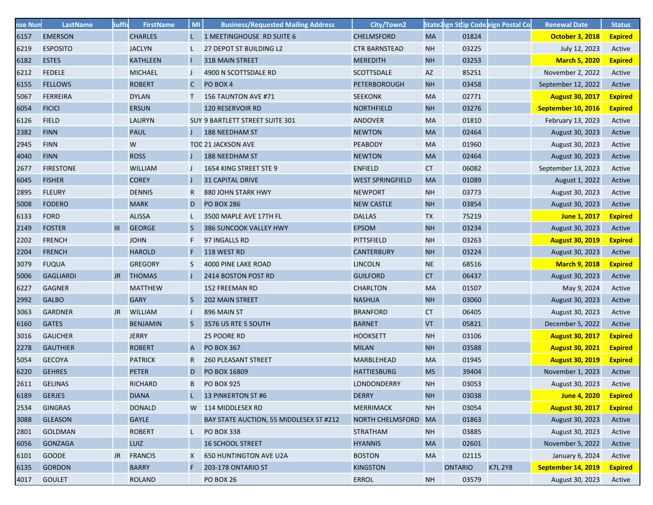| nse Num | LastName         | <b>Suffi</b> | <b>FirstName</b> | MI           | <b>Business/Requested Mailing Address</b> | City/Town2              |           |                |       | State2ign Sttip Codeeign Postal Co | <b>Renewal Date</b>    | <b>Status</b>  |
|---------|------------------|--------------|------------------|--------------|-------------------------------------------|-------------------------|-----------|----------------|-------|------------------------------------|------------------------|----------------|
| 6157    | <b>EMERSON</b>   |              | <b>CHARLES</b>   |              | 1 MEETINGHOUSE RD SUITE 6                 | <b>CHELMSFORD</b>       | <b>MA</b> |                | 01824 |                                    | <b>October 3, 2018</b> | <b>Expired</b> |
| 6219    | <b>ESPOSITO</b>  |              | <b>JACLYN</b>    |              | 27 DEPOT ST BUILDING L2                   | <b>CTR BARNSTEAD</b>    | <b>NH</b> |                | 03225 |                                    | July 12, 2023          | Active         |
| 6182    | <b>ESTES</b>     |              | <b>KATHLEEN</b>  |              | <b>31B MAIN STREET</b>                    | <b>MEREDITH</b>         | <b>NH</b> |                | 03253 |                                    | <b>March 5, 2020</b>   | <b>Expired</b> |
| 6212    | <b>FEDELE</b>    |              | <b>MICHAEL</b>   |              | 4900 N SCOTTSDALE RD                      | <b>SCOTTSDALE</b>       | AZ        |                | 85251 |                                    | November 2, 2022       | Active         |
| 6155    | <b>FELLOWS</b>   |              | <b>ROBERT</b>    | $\mathsf{C}$ | PO BOX 4                                  | <b>PETERBOROUGH</b>     | <b>NH</b> |                | 03458 |                                    | September 12, 2022     | Active         |
| 5067    | <b>FERREIRA</b>  |              | <b>DYLAN</b>     | T.           | 156 TAUNTON AVE #71                       | <b>SEEKONK</b>          | MA        |                | 02771 |                                    | <b>August 30, 2017</b> | <b>Expired</b> |
| 6054    | <b>FICICI</b>    |              | <b>ERSUN</b>     |              | 120 RESERVOIR RD                          | <b>NORTHFIELD</b>       | <b>NH</b> |                | 03276 |                                    | September 10, 2016     | <b>Expired</b> |
| 6126    | <b>FIELD</b>     |              | <b>LAURYN</b>    |              | SUY 9 BARTLETT STREET SUITE 301           | <b>ANDOVER</b>          | <b>MA</b> |                | 01810 |                                    | February 13, 2023      | Active         |
| 2382    | <b>FINN</b>      |              | <b>PAUL</b>      |              | 188 NEEDHAM ST                            | <b>NEWTON</b>           | MA        |                | 02464 |                                    | August 30, 2023        | Active         |
| 2945    | <b>FINN</b>      |              | W                |              | TOD 21 JACKSON AVE                        | <b>PEABODY</b>          | MA        |                | 01960 |                                    | August 30, 2023        | Active         |
| 4040    | <b>FINN</b>      |              | <b>ROSS</b>      |              | 188 NEEDHAM ST                            | <b>NEWTON</b>           | MA        |                | 02464 |                                    | August 30, 2023        | Active         |
| 2677    | <b>FIRESTONE</b> |              | <b>WILLIAM</b>   |              | 1654 KING STREET STE 9                    | <b>ENFIELD</b>          | СT        |                | 06082 |                                    | September 13, 2023     | Active         |
| 6045    | <b>FISHER</b>    |              | <b>COREY</b>     |              | <b>31 CAPITAL DRIVE</b>                   | <b>WEST SPRINGFIELD</b> | <b>MA</b> |                | 01089 |                                    | August 1, 2022         | Active         |
| 2895    | <b>FLEURY</b>    |              | <b>DENNIS</b>    |              | 880 JOHN STARK HWY                        | <b>NEWPORT</b>          | <b>NH</b> |                | 03773 |                                    | August 30, 2023        | Active         |
| 5008    | <b>FODERO</b>    |              | <b>MARK</b>      | D            | <b>PO BOX 286</b>                         | <b>NEW CASTLE</b>       | <b>NH</b> |                | 03854 |                                    | August 30, 2023        | Active         |
| 6133    | <b>FORD</b>      |              | <b>ALISSA</b>    |              | 3500 MAPLE AVE 17TH FL                    | <b>DALLAS</b>           | <b>TX</b> |                | 75219 |                                    | June 1, 2017           | <b>Expired</b> |
| 2149    | <b>FOSTER</b>    | III          | <b>GEORGE</b>    | S            | 386 SUNCOOK VALLEY HWY                    | <b>EPSOM</b>            | <b>NH</b> |                | 03234 |                                    | August 30, 2023        | Active         |
| 2202    | <b>FRENCH</b>    |              | <b>JOHN</b>      | F            | 97 INGALLS RD                             | <b>PITTSFIELD</b>       | <b>NH</b> |                | 03263 |                                    | <b>August 30, 2019</b> | <b>Expired</b> |
| 2204    | <b>FRENCH</b>    |              | <b>HAROLD</b>    |              | 118 WEST RD                               | <b>CANTERBURY</b>       | <b>NH</b> |                | 03224 |                                    | August 30, 2023        | Active         |
| 3079    | <b>FUQUA</b>     |              | <b>GREGORY</b>   | S            | 4000 PINE LAKE ROAD                       | <b>LINCOLN</b>          | <b>NE</b> |                | 68516 |                                    | <b>March 9, 2018</b>   | <b>Expired</b> |
| 5006    | <b>GAGLIARDI</b> | JR.          | <b>THOMAS</b>    |              | 2414 BOSTON POST RD                       | <b>GUILFORD</b>         | <b>CT</b> |                | 06437 |                                    | August 30, 2023        | Active         |
| 6227    | <b>GAGNER</b>    |              | <b>MATTHEW</b>   |              | 152 FREEMAN RD                            | <b>CHARLTON</b>         | MA        |                | 01507 |                                    | May 9, 2024            | Active         |
| 2992    | <b>GALBO</b>     |              | <b>GARY</b>      | S.           | <b>202 MAIN STREET</b>                    | <b>NASHUA</b>           | <b>NH</b> |                | 03060 |                                    | August 30, 2023        | Active         |
| 3063    | <b>GARDNER</b>   | JR           | <b>WILLIAM</b>   |              | 896 MAIN ST                               | <b>BRANFORD</b>         | СT        |                | 06405 |                                    | August 30, 2023        | Active         |
| 6160    | <b>GATES</b>     |              | <b>BENJAMIN</b>  | S.           | 3576 US RTE 5 SOUTH                       | <b>BARNET</b>           | VT        |                | 05821 |                                    | December 5, 2022       | Active         |
| 3016    | <b>GAUCHER</b>   |              | <b>JERRY</b>     |              | 25 POORE RD                               | <b>HOOKSETT</b>         | <b>NH</b> |                | 03106 |                                    | <b>August 30, 2017</b> | <b>Expired</b> |
| 2278    | <b>GAUTHIER</b>  |              | <b>ROBERT</b>    | A            | <b>PO BOX 367</b>                         | <b>MILAN</b>            | <b>NH</b> |                | 03588 |                                    | <b>August 30, 2021</b> | <b>Expired</b> |
| 5054    | <b>GECOYA</b>    |              | <b>PATRICK</b>   | R.           | <b>260 PLEASANT STREET</b>                | MARBLEHEAD              | MA        |                | 01945 |                                    | <b>August 30, 2019</b> | <b>Expired</b> |
| 6220    | <b>GEHRES</b>    |              | <b>PETER</b>     | D            | PO BOX 16809                              | <b>HATTIESBURG</b>      | <b>MS</b> |                | 39404 |                                    | November 1, 2023       | Active         |
| 2611    | <b>GELINAS</b>   |              | <b>RICHARD</b>   | B            | <b>PO BOX 925</b>                         | LONDONDERRY             | <b>NH</b> |                | 03053 |                                    | August 30, 2023        | Active         |
| 6189    | <b>GERJES</b>    |              | <b>DIANA</b>     |              | 13 PINKERTON ST #6                        | <b>DERRY</b>            | <b>NH</b> |                | 03038 |                                    | <b>June 4, 2020</b>    | <b>Expired</b> |
| 2534    | <b>GINGRAS</b>   |              | <b>DONALD</b>    |              | W 114 MIDDLESEX RD                        | <b>MERRIMACK</b>        | <b>NH</b> |                | 03054 |                                    | <b>August 30, 2017</b> | <b>Expired</b> |
| 3088    | <b>GLEASON</b>   |              | <b>GAYLE</b>     |              | BAY STATE AUCTION, 55 MIDDLESEX ST #212   | <b>NORTH CHELMSFORD</b> | <b>MA</b> |                | 01863 |                                    | August 30, 2023        | Active         |
| 2801    | <b>GOLDMAN</b>   |              | <b>ROBERT</b>    | L            | <b>PO BOX 338</b>                         | <b>STRATHAM</b>         | <b>NH</b> |                | 03885 |                                    | August 30, 2023        | Active         |
| 6056    | <b>GONZAGA</b>   |              | LUIZ             |              | <b>16 SCHOOL STREET</b>                   | <b>HYANNIS</b>          | MA        |                | 02601 |                                    | November 5, 2022       | Active         |
| 6101    | <b>GOODE</b>     | JR           | <b>FRANCIS</b>   | X            | <b>650 HUNTINGTON AVE U2A</b>             | <b>BOSTON</b>           | MA        |                | 02115 |                                    | January 6, 2024        | Active         |
| 6135    | <b>GORDON</b>    |              | <b>BARRY</b>     | F            | 203-178 ONTARIO ST                        | <b>KINGSTON</b>         |           | <b>ONTARIO</b> |       | <b>K7L 2Y8</b>                     | September 14, 2019     | <b>Expired</b> |
| 4017    | <b>GOULET</b>    |              | <b>ROLAND</b>    |              | <b>PO BOX 26</b>                          | <b>ERROL</b>            | <b>NH</b> |                | 03579 |                                    | August 30, 2023        | Active         |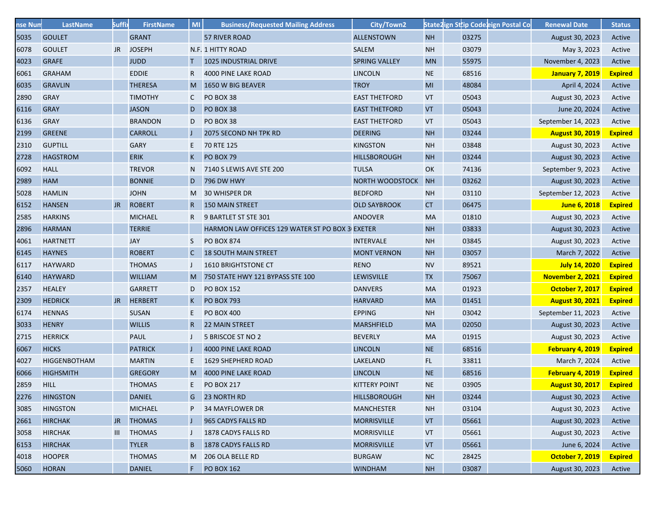| nse Num | <b>LastName</b>     | <b>Suffi</b>   | <b>FirstName</b> | <b>MI</b>    | <b>Business/Requested Mailing Address</b>       | City/Town2           |                            |       | State2ign Sttip Code eign Postal Co | <b>Renewal Date</b>    | <b>Status</b>  |
|---------|---------------------|----------------|------------------|--------------|-------------------------------------------------|----------------------|----------------------------|-------|-------------------------------------|------------------------|----------------|
| 5035    | <b>GOULET</b>       |                | <b>GRANT</b>     |              | 57 RIVER ROAD                                   | <b>ALLENSTOWN</b>    | <b>NH</b>                  | 03275 |                                     | August 30, 2023        | Active         |
| 6078    | <b>GOULET</b>       | <b>JR</b>      | <b>JOSEPH</b>    |              | N.F. 1 HITTY ROAD                               | SALEM                | <b>NH</b>                  | 03079 |                                     | May 3, 2023            | Active         |
| 4023    | <b>GRAFE</b>        |                | <b>JUDD</b>      | т.           | 1025 INDUSTRIAL DRIVE                           | <b>SPRING VALLEY</b> | <b>MN</b>                  | 55975 |                                     | November 4, 2023       | Active         |
| 6061    | <b>GRAHAM</b>       |                | <b>EDDIE</b>     | R.           | 4000 PINE LAKE ROAD                             | <b>LINCOLN</b>       | <b>NE</b>                  | 68516 |                                     | <b>January 7, 2019</b> | <b>Expired</b> |
| 6035    | <b>GRAVLIN</b>      |                | <b>THERESA</b>   | M            | 1650 W BIG BEAVER                               | <b>TROY</b>          | MI                         | 48084 |                                     | April 4, 2024          | Active         |
| 2890    | <b>GRAY</b>         |                | <b>TIMOTHY</b>   | C            | PO BOX 38                                       | <b>EAST THETFORD</b> | VT                         | 05043 |                                     | August 30, 2023        | Active         |
| 6116    | <b>GRAY</b>         |                | <b>JASON</b>     | D            | PO BOX 38                                       | <b>EAST THETFORD</b> | <b>VT</b>                  | 05043 |                                     | June 20, 2024          | Active         |
| 6136    | <b>GRAY</b>         |                | <b>BRANDON</b>   | D            | PO BOX 38                                       | <b>EAST THETFORD</b> | VT                         | 05043 |                                     | September 14, 2023     | Active         |
| 2199    | <b>GREENE</b>       |                | <b>CARROLL</b>   |              | 2075 SECOND NH TPK RD                           | <b>DEERING</b>       | <b>NH</b>                  | 03244 |                                     | <b>August 30, 2019</b> | <b>Expired</b> |
| 2310    | <b>GUPTILL</b>      |                | <b>GARY</b>      | E.           | 70 RTE 125                                      | <b>KINGSTON</b>      | <b>NH</b>                  | 03848 |                                     | August 30, 2023        | Active         |
| 2728    | <b>HAGSTROM</b>     |                | <b>ERIK</b>      | K            | PO BOX 79                                       | <b>HILLSBOROUGH</b>  | <b>NH</b>                  | 03244 |                                     | August 30, 2023        | Active         |
| 6092    | <b>HALL</b>         |                | <b>TREVOR</b>    | N.           | 7140 S LEWIS AVE STE 200                        | <b>TULSA</b>         | OK                         | 74136 |                                     | September 9, 2023      | Active         |
| 2989    | <b>HAM</b>          |                | <b>BONNIE</b>    | D            | <b>796 DW HWY</b>                               | NORTH WOODSTOCK      | <b>NH</b>                  | 03262 |                                     | August 30, 2023        | Active         |
| 5028    | <b>HAMLIN</b>       |                | <b>JOHN</b>      |              | M 30 WHISPER DR                                 | <b>BEDFORD</b>       | <b>NH</b>                  | 03110 |                                     | September 12, 2023     | Active         |
| 6152    | <b>HANSEN</b>       | JR.            | <b>ROBERT</b>    | $\mathsf{R}$ | 150 MAIN STREET                                 | <b>OLD SAYBROOK</b>  | <b>CT</b>                  | 06475 |                                     | June 6, 2018           | <b>Expired</b> |
| 2585    | <b>HARKINS</b>      |                | <b>MICHAEL</b>   | R            | 9 BARTLET ST STE 301                            | <b>ANDOVER</b>       | MA                         | 01810 |                                     | August 30, 2023        | Active         |
| 2896    | <b>HARMAN</b>       |                | <b>TERRIE</b>    |              | HARMON LAW OFFICES 129 WATER ST PO BOX 3 EXETER |                      | <b>NH</b>                  | 03833 |                                     | August 30, 2023        | Active         |
| 4061    | <b>HARTNETT</b>     |                | JAY              | S            | <b>PO BOX 874</b>                               | <b>INTERVALE</b>     | <b>NH</b>                  | 03845 |                                     | August 30, 2023        | Active         |
| 6145    | <b>HAYNES</b>       |                | <b>ROBERT</b>    | C            | <b>18 SOUTH MAIN STREET</b>                     | <b>MONT VERNON</b>   | <b>NH</b>                  | 03057 |                                     | March 7, 2022          | Active         |
| 6117    | <b>HAYWARD</b>      |                | <b>THOMAS</b>    | $\mathsf{J}$ | <b>1610 BRIGHTSTONE CT</b>                      | <b>RENO</b>          | <b>NV</b>                  | 89521 |                                     | <b>July 14, 2020</b>   | <b>Expired</b> |
| 6140    | <b>HAYWARD</b>      |                | <b>WILLIAM</b>   |              | M 750 STATE HWY 121 BYPASS STE 100              | <b>LEWISVILLE</b>    | <b>TX</b>                  | 75067 |                                     | November 2, 2021       | <b>Expired</b> |
| 2357    | <b>HEALEY</b>       |                | <b>GARRETT</b>   | D            | <b>PO BOX 152</b>                               | <b>DANVERS</b>       | MA                         | 01923 |                                     | <b>October 7, 2017</b> | <b>Expired</b> |
| 2309    | <b>HEDRICK</b>      | JR.            | <b>HERBERT</b>   | K            | <b>PO BOX 793</b>                               | <b>HARVARD</b>       | <b>MA</b>                  | 01451 |                                     | <b>August 30, 2021</b> | <b>Expired</b> |
| 6174    | <b>HENNAS</b>       |                | <b>SUSAN</b>     | E.           | <b>PO BOX 400</b>                               | <b>EPPING</b>        | <b>NH</b>                  | 03042 |                                     | September 11, 2023     | Active         |
| 3033    | <b>HENRY</b>        |                | <b>WILLIS</b>    | $\mathsf{R}$ | <b>22 MAIN STREET</b>                           | <b>MARSHFIELD</b>    | <b>MA</b>                  | 02050 |                                     | August 30, 2023        | Active         |
| 2715    | <b>HERRICK</b>      |                | <b>PAUL</b>      |              | 5 BRISCOE ST NO 2                               | <b>BEVERLY</b>       | MA                         | 01915 |                                     | August 30, 2023        | Active         |
| 6067    | <b>HICKS</b>        |                | <b>PATRICK</b>   |              | 4000 PINE LAKE ROAD                             | <b>LINCOLN</b>       | <b>NE</b>                  | 68516 |                                     | February 4, 2019       | <b>Expired</b> |
| 4027    | <b>HIGGENBOTHAM</b> |                | <b>MARTIN</b>    |              | 1629 SHEPHERD ROAD                              | LAKELAND             | FL.                        | 33811 |                                     | March 7, 2024          | Active         |
| 6066    | <b>HIGHSMITH</b>    |                | <b>GREGORY</b>   | M            | 4000 PINE LAKE ROAD                             | <b>LINCOLN</b>       | <b>NE</b>                  | 68516 |                                     | February 4, 2019       | <b>Expired</b> |
| 2859    | <b>HILL</b>         |                | <b>THOMAS</b>    | E.           | <b>PO BOX 217</b>                               | <b>KITTERY POINT</b> | <b>NE</b>                  | 03905 |                                     | <b>August 30, 2017</b> | <b>Expired</b> |
| 2276    | <b>HINGSTON</b>     |                | <b>DANIEL</b>    | G            | 23 NORTH RD                                     | <b>HILLSBOROUGH</b>  | <b>NH</b>                  | 03244 |                                     | August 30, 2023        | Active         |
| 3085    | <b>HINGSTON</b>     |                | <b>MICHAEL</b>   | P            | <b>34 MAYFLOWER DR</b>                          | <b>MANCHESTER</b>    | <b>NH</b>                  | 03104 |                                     | August 30, 2023        | Active         |
| 2661    | <b>HIRCHAK</b>      | JR.            | <b>THOMAS</b>    |              | 965 CADYS FALLS RD                              | <b>MORRISVILLE</b>   | $\ensuremath{\mathsf{VT}}$ | 05661 |                                     | August 30, 2023        | Active         |
| 3058    | <b>HIRCHAK</b>      | $\mathbf{III}$ | <b>THOMAS</b>    |              | 1878 CADYS FALLS RD                             | <b>MORRISVILLE</b>   | VT                         | 05661 |                                     | August 30, 2023        | Active         |
| 6153    | <b>HIRCHAK</b>      |                | <b>TYLER</b>     | B            | 1878 CADYS FALLS RD                             | <b>MORRISVILLE</b>   | $\ensuremath{\mathsf{VT}}$ | 05661 |                                     | June 6, 2024           | Active         |
| 4018    | <b>HOOPER</b>       |                | <b>THOMAS</b>    | M            | 206 OLA BELLE RD                                | <b>BURGAW</b>        | $NC$                       | 28425 |                                     | <b>October 7, 2019</b> | <b>Expired</b> |
| 5060    | <b>HORAN</b>        |                | <b>DANIEL</b>    | F.           | <b>PO BOX 162</b>                               | <b>WINDHAM</b>       | <b>NH</b>                  | 03087 |                                     | August 30, 2023        | Active         |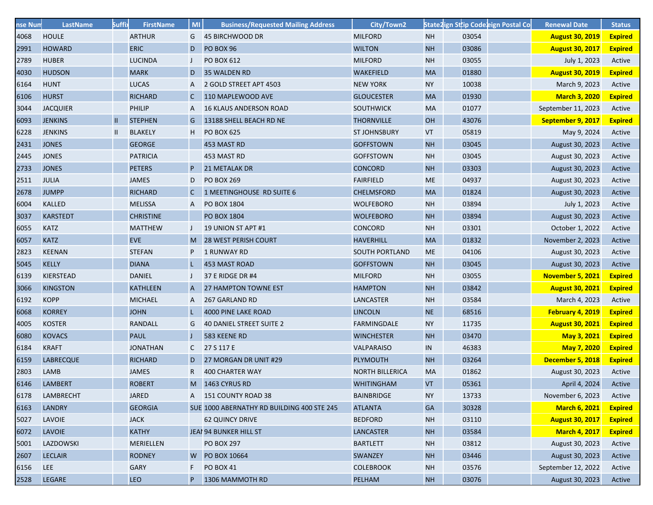| nse Num | LastName         | <b>Suffi</b> | <b>FirstName</b> | MI           | <b>Business/Requested Mailing Address</b>  | City/Town2             |           |       | State2ign Sttip Codeeign Postal Co | <b>Renewal Date</b>    | <b>Status</b>  |
|---------|------------------|--------------|------------------|--------------|--------------------------------------------|------------------------|-----------|-------|------------------------------------|------------------------|----------------|
| 4068    | <b>HOULE</b>     |              | <b>ARTHUR</b>    | G            | 45 BIRCHWOOD DR                            | <b>MILFORD</b>         | <b>NH</b> | 03054 |                                    | <b>August 30, 2019</b> | <b>Expired</b> |
| 2991    | <b>HOWARD</b>    |              | <b>ERIC</b>      | D            | PO BOX 96                                  | <b>WILTON</b>          | <b>NH</b> | 03086 |                                    | <b>August 30, 2017</b> | <b>Expired</b> |
| 2789    | <b>HUBER</b>     |              | <b>LUCINDA</b>   |              | <b>PO BOX 612</b>                          | <b>MILFORD</b>         | <b>NH</b> | 03055 |                                    | July 1, 2023           | Active         |
| 4030    | <b>HUDSON</b>    |              | <b>MARK</b>      | D            | 35 WALDEN RD                               | <b>WAKEFIELD</b>       | MA        | 01880 |                                    | <b>August 30, 2019</b> | <b>Expired</b> |
| 6164    | <b>HUNT</b>      |              | <b>LUCAS</b>     | A            | 2 GOLD STREET APT 4503                     | <b>NEW YORK</b>        | <b>NY</b> | 10038 |                                    | March 9, 2023          | Active         |
| 6106    | <b>HURST</b>     |              | <b>RICHARD</b>   | C            | 110 MAPLEWOOD AVE                          | <b>GLOUCESTER</b>      | <b>MA</b> | 01930 |                                    | <b>March 3, 2020</b>   | <b>Expired</b> |
| 3044    | <b>JACQUIER</b>  |              | <b>PHILIP</b>    |              | <b>16 KLAUS ANDERSON ROAD</b>              | <b>SOUTHWICK</b>       | <b>MA</b> | 01077 |                                    | September 11, 2023     | Active         |
| 6093    | <b>JENKINS</b>   | $\mathbf{H}$ | <b>STEPHEN</b>   | G            | 13188 SHELL BEACH RD NE                    | <b>THORNVILLE</b>      | OH        | 43076 |                                    | September 9, 2017      | <b>Expired</b> |
| 6228    | <b>JENKINS</b>   | $\mathbf{H}$ | <b>BLAKELY</b>   | H.           | <b>PO BOX 625</b>                          | <b>ST JOHNSBURY</b>    | VT        | 05819 |                                    | May 9, 2024            | Active         |
| 2431    | <b>JONES</b>     |              | <b>GEORGE</b>    |              | 453 MAST RD                                | <b>GOFFSTOWN</b>       | <b>NH</b> | 03045 |                                    | August 30, 2023        | Active         |
| 2445    | <b>JONES</b>     |              | <b>PATRICIA</b>  |              | 453 MAST RD                                | <b>GOFFSTOWN</b>       | <b>NH</b> | 03045 |                                    | August 30, 2023        | Active         |
| 2733    | <b>JONES</b>     |              | <b>PETERS</b>    |              | <b>21 METALAK DR</b>                       | <b>CONCORD</b>         | <b>NH</b> | 03303 |                                    | August 30, 2023        | Active         |
| 2511    | <b>JULIA</b>     |              | <b>JAMES</b>     | D            | <b>PO BOX 269</b>                          | <b>FAIRFIELD</b>       | ME        | 04937 |                                    | August 30, 2023        | Active         |
| 2678    | <b>JUMPP</b>     |              | <b>RICHARD</b>   | $\mathsf{C}$ | 1 MEETINGHOUSE RD SUITE 6                  | <b>CHELMSFORD</b>      | MA        | 01824 |                                    | August 30, 2023        | Active         |
| 6004    | <b>KALLED</b>    |              | <b>MELISSA</b>   | A            | <b>PO BOX 1804</b>                         | <b>WOLFEBORO</b>       | <b>NH</b> | 03894 |                                    | July 1, 2023           | Active         |
| 3037    | <b>KARSTEDT</b>  |              | <b>CHRISTINE</b> |              | <b>PO BOX 1804</b>                         | <b>WOLFEBORO</b>       | <b>NH</b> | 03894 |                                    | August 30, 2023        | Active         |
| 6055    | <b>KATZ</b>      |              | <b>MATTHEW</b>   |              | 19 UNION ST APT #1                         | <b>CONCORD</b>         | <b>NH</b> | 03301 |                                    | October 1, 2022        | Active         |
| 6057    | <b>KATZ</b>      |              | <b>EVE</b>       | M            | <b>28 WEST PERISH COURT</b>                | <b>HAVERHILL</b>       | <b>MA</b> | 01832 |                                    | November 2, 2023       | Active         |
| 2823    | <b>KEENAN</b>    |              | <b>STEFAN</b>    | P            | 1 RUNWAY RD                                | <b>SOUTH PORTLAND</b>  | ME        | 04106 |                                    | August 30, 2023        | Active         |
| 5045    | <b>KELLY</b>     |              | <b>DIANA</b>     |              | 453 MAST ROAD                              | <b>GOFFSTOWN</b>       | <b>NH</b> | 03045 |                                    | August 30, 2023        | Active         |
| 6139    | <b>KIERSTEAD</b> |              | <b>DANIEL</b>    |              | 37 E RIDGE DR #4                           | <b>MILFORD</b>         | <b>NH</b> | 03055 |                                    | November 5, 2021       | <b>Expired</b> |
| 3066    | <b>KINGSTON</b>  |              | <b>KATHLEEN</b>  | A            | <b>27 HAMPTON TOWNE EST</b>                | <b>HAMPTON</b>         | <b>NH</b> | 03842 |                                    | <b>August 30, 2021</b> | <b>Expired</b> |
| 6192    | <b>KOPP</b>      |              | <b>MICHAEL</b>   | A            | 267 GARLAND RD                             | <b>LANCASTER</b>       | <b>NH</b> | 03584 |                                    | March 4, 2023          | Active         |
| 6068    | <b>KORREY</b>    |              | <b>JOHN</b>      |              | 4000 PINE LAKE ROAD                        | <b>LINCOLN</b>         | NE        | 68516 |                                    | February 4, 2019       | <b>Expired</b> |
| 4005    | <b>KOSTER</b>    |              | <b>RANDALL</b>   | G            | 40 DANIEL STREET SUITE 2                   | <b>FARMINGDALE</b>     | <b>NY</b> | 11735 |                                    | <b>August 30, 2021</b> | <b>Expired</b> |
| 6080    | <b>KOVACS</b>    |              | <b>PAUL</b>      |              | 583 KEENE RD                               | <b>WINCHESTER</b>      | <b>NH</b> | 03470 |                                    | May 3, 2021            | <b>Expired</b> |
| 6184    | <b>KRAFT</b>     |              | <b>JONATHAN</b>  | $\mathsf{C}$ | 27 S 117 E                                 | <b>VALPARAISO</b>      | IN        | 46383 |                                    | May 7, 2020            | <b>Expired</b> |
| 6159    | <b>LABRECQUE</b> |              | <b>RICHARD</b>   | D            | 27 MORGAN DR UNIT #29                      | <b>PLYMOUTH</b>        | <b>NH</b> | 03264 |                                    | December 5, 2018       | <b>Expired</b> |
| 2803    | <b>LAMB</b>      |              | <b>JAMES</b>     | R            | 400 CHARTER WAY                            | <b>NORTH BILLERICA</b> | MA        | 01862 |                                    | August 30, 2023        | Active         |
| 6146    | <b>LAMBERT</b>   |              | <b>ROBERT</b>    |              | M 1463 CYRUS RD                            | <b>WHITINGHAM</b>      | <b>VT</b> | 05361 |                                    | April 4, 2024          | Active         |
| 6178    | <b>LAMBRECHT</b> |              | <b>JARED</b>     |              | A 151 COUNTY ROAD 38                       | <b>BAINBRIDGE</b>      | <b>NY</b> | 13733 |                                    | November 6, 2023       | Active         |
| 6163    | <b>LANDRY</b>    |              | <b>GEORGIA</b>   |              | SUE 1000 ABERNATHY RD BUILDING 400 STE 245 | <b>ATLANTA</b>         | GA        | 30328 |                                    | <b>March 6, 2021</b>   | <b>Expired</b> |
| 5027    | <b>LAVOIE</b>    |              | <b>JACK</b>      |              | <b>62 QUINCY DRIVE</b>                     | <b>BEDFORD</b>         | <b>NH</b> | 03110 |                                    | <b>August 30, 2017</b> | <b>Expired</b> |
| 6072    | <b>LAVOIE</b>    |              | <b>KATHY</b>     |              | JEAI 94 BUNKER HILL ST                     | <b>LANCASTER</b>       | <b>NH</b> | 03584 |                                    | <b>March 4, 2017</b>   | <b>Expired</b> |
| 5001    | LAZDOWSKI        |              | MERIELLEN        |              | <b>PO BOX 297</b>                          | <b>BARTLETT</b>        | <b>NH</b> | 03812 |                                    | August 30, 2023        | Active         |
| 2607    | <b>LECLAIR</b>   |              | <b>RODNEY</b>    |              | W PO BOX 10664                             | <b>SWANZEY</b>         | <b>NH</b> | 03446 |                                    | August 30, 2023        | Active         |
| 6156    | LEE              |              | <b>GARY</b>      | F.           | <b>PO BOX 41</b>                           | <b>COLEBROOK</b>       | <b>NH</b> | 03576 |                                    | September 12, 2022     | Active         |
| 2528    | LEGARE           |              | LEO              | P            | 1306 MAMMOTH RD                            | PELHAM                 | <b>NH</b> | 03076 |                                    | August 30, 2023        | Active         |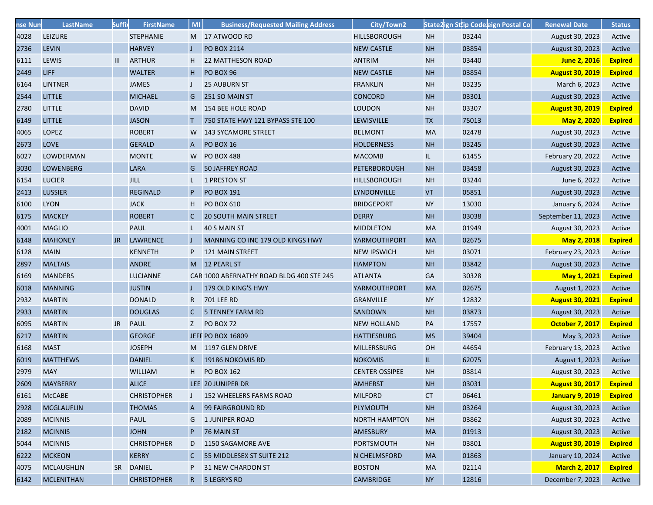| nse Num | LastName          | <b>Suffi</b> | <b>FirstName</b>   | MI           | <b>Business/Requested Mailing Address</b> | City/Town2            |           | State2ign Sttip Codeeign Postal Co | <b>Renewal Date</b>    | <b>Status</b>  |
|---------|-------------------|--------------|--------------------|--------------|-------------------------------------------|-----------------------|-----------|------------------------------------|------------------------|----------------|
| 4028    | <b>LEIZURE</b>    |              | <b>STEPHANIE</b>   |              | M 17 ATWOOD RD                            | <b>HILLSBOROUGH</b>   | <b>NH</b> | 03244                              | August 30, 2023        | Active         |
| 2736    | <b>LEVIN</b>      |              | <b>HARVEY</b>      |              | PO BOX 2114                               | <b>NEW CASTLE</b>     | <b>NH</b> | 03854                              | August 30, 2023        | Active         |
| 6111    | LEWIS             | Ш            | <b>ARTHUR</b>      | H            | <b>22 MATTHESON ROAD</b>                  | <b>ANTRIM</b>         | <b>NH</b> | 03440                              | June 2, 2016           | <b>Expired</b> |
| 2449    | <b>LIFF</b>       |              | <b>WALTER</b>      | H.           | PO BOX 96                                 | <b>NEW CASTLE</b>     | <b>NH</b> | 03854                              | <b>August 30, 2019</b> | <b>Expired</b> |
| 6164    | <b>LINTNER</b>    |              | <b>JAMES</b>       |              | <b>25 AUBURN ST</b>                       | <b>FRANKLIN</b>       | <b>NH</b> | 03235                              | March 6, 2023          | Active         |
| 2544    | <b>LITTLE</b>     |              | <b>MICHAEL</b>     | G            | 251 SO MAIN ST                            | <b>CONCORD</b>        | <b>NH</b> | 03301                              | August 30, 2023        | Active         |
| 2780    | <b>LITTLE</b>     |              | <b>DAVID</b>       | M.           | 154 BEE HOLE ROAD                         | <b>LOUDON</b>         | <b>NH</b> | 03307                              | <b>August 30, 2019</b> | <b>Expired</b> |
| 6149    | <b>LITTLE</b>     |              | <b>JASON</b>       | Τ            | 750 STATE HWY 121 BYPASS STE 100          | <b>LEWISVILLE</b>     | <b>TX</b> | 75013                              | May 2, 2020            | <b>Expired</b> |
| 4065    | <b>LOPEZ</b>      |              | <b>ROBERT</b>      | W.           | <b>143 SYCAMORE STREET</b>                | <b>BELMONT</b>        | <b>MA</b> | 02478                              | August 30, 2023        | Active         |
| 2673    | <b>LOVE</b>       |              | <b>GERALD</b>      | A            | <b>PO BOX 16</b>                          | <b>HOLDERNESS</b>     | <b>NH</b> | 03245                              | August 30, 2023        | Active         |
| 6027    | LOWDERMAN         |              | <b>MONTE</b>       | W            | <b>PO BOX 488</b>                         | <b>MACOMB</b>         | IL.       | 61455                              | February 20, 2022      | Active         |
| 3030    | <b>LOWENBERG</b>  |              | <b>LARA</b>        | G            | <b>50 JAFFREY ROAD</b>                    | <b>PETERBOROUGH</b>   | <b>NH</b> | 03458                              | August 30, 2023        | Active         |
| 6154    | <b>LUCIER</b>     |              | <b>JILL</b>        | L.           | 1 PRESTON ST                              | <b>HILLSBOROUGH</b>   | <b>NH</b> | 03244                              | June 6, 2022           | Active         |
| 2413    | <b>LUSSIER</b>    |              | <b>REGINALD</b>    | P            | <b>PO BOX 191</b>                         | <b>LYNDONVILLE</b>    | <b>VT</b> | 05851                              | August 30, 2023        | Active         |
| 6100    | <b>LYON</b>       |              | <b>JACK</b>        | Н.           | <b>PO BOX 610</b>                         | <b>BRIDGEPORT</b>     | <b>NY</b> | 13030                              | January 6, 2024        | Active         |
| 6175    | <b>MACKEY</b>     |              | <b>ROBERT</b>      | $\mathsf{C}$ | <b>20 SOUTH MAIN STREET</b>               | <b>DERRY</b>          | <b>NH</b> | 03038                              | September 11, 2023     | Active         |
| 4001    | <b>MAGLIO</b>     |              | <b>PAUL</b>        |              | 40 S MAIN ST                              | <b>MIDDLETON</b>      | <b>MA</b> | 01949                              | August 30, 2023        | Active         |
| 6148    | <b>MAHONEY</b>    | JR.          | <b>LAWRENCE</b>    | J.           | MANNING CO INC 179 OLD KINGS HWY          | YARMOUTHPORT          | <b>MA</b> | 02675                              | May 2, 2018            | <b>Expired</b> |
| 6128    | <b>MAIN</b>       |              | <b>KENNETH</b>     |              | 121 MAIN STREET                           | <b>NEW IPSWICH</b>    | <b>NH</b> | 03071                              | February 23, 2023      | Active         |
| 2897    | <b>MALTAIS</b>    |              | <b>ANDRE</b>       |              | M 12 PEARL ST                             | <b>HAMPTON</b>        | <b>NH</b> | 03842                              | August 30, 2023        | Active         |
| 6169    | <b>MANDERS</b>    |              | <b>LUCIANNE</b>    |              | CAR 1000 ABERNATHY ROAD BLDG 400 STE 245  | <b>ATLANTA</b>        | <b>GA</b> | 30328                              | May 1, 2021            | <b>Expired</b> |
| 6018    | <b>MANNING</b>    |              | <b>JUSTIN</b>      |              | 179 OLD KING'S HWY                        | YARMOUTHPORT          | <b>MA</b> | 02675                              | August 1, 2023         | Active         |
| 2932    | <b>MARTIN</b>     |              | <b>DONALD</b>      | R            | 701 LEE RD                                | <b>GRANVILLE</b>      | <b>NY</b> | 12832                              | <b>August 30, 2021</b> | <b>Expired</b> |
| 2933    | <b>MARTIN</b>     |              | <b>DOUGLAS</b>     | C            | <b>5 TENNEY FARM RD</b>                   | <b>SANDOWN</b>        | <b>NH</b> | 03873                              | August 30, 2023        | Active         |
| 6095    | <b>MARTIN</b>     | JR           | <b>PAUL</b>        | Z            | PO BOX 72                                 | <b>NEW HOLLAND</b>    | PA        | 17557                              | <b>October 7, 2017</b> | <b>Expired</b> |
| 6217    | <b>MARTIN</b>     |              | <b>GEORGE</b>      |              | <b>JEFF PO BOX 16809</b>                  | <b>HATTIESBURG</b>    | <b>MS</b> | 39404                              | May 3, 2023            | Active         |
| 6168    | <b>MAST</b>       |              | <b>JOSEPH</b>      |              | M 1197 GLEN DRIVE                         | <b>MILLERSBURG</b>    | <b>OH</b> | 44654                              | February 13, 2023      | Active         |
| 6019    | <b>MATTHEWS</b>   |              | <b>DANIEL</b>      | K.           | 19186 NOKOMIS RD                          | <b>NOKOMIS</b>        | L         | 62075                              | August 1, 2023         | Active         |
| 2979    | <b>MAY</b>        |              | <b>WILLIAM</b>     | H.           | <b>PO BOX 162</b>                         | <b>CENTER OSSIPEE</b> | <b>NH</b> | 03814                              | August 30, 2023        | Active         |
| 2609    | <b>MAYBERRY</b>   |              | <b>ALICE</b>       |              | LEE 20 JUNIPER DR                         | <b>AMHERST</b>        | <b>NH</b> | 03031                              | <b>August 30, 2017</b> | <b>Expired</b> |
| 6161    | <b>McCABE</b>     |              | <b>CHRISTOPHER</b> | J            | 152 WHEELERS FARMS ROAD                   | <b>MILFORD</b>        | <b>CT</b> | 06461                              | <b>January 9, 2019</b> | <b>Expired</b> |
| 2928    | <b>MCGLAUFLIN</b> |              | <b>THOMAS</b>      | A            | 99 FAIRGROUND RD                          | <b>PLYMOUTH</b>       | <b>NH</b> | 03264                              | August 30, 2023        | Active         |
| 2089    | <b>MCINNIS</b>    |              | <b>PAUL</b>        | G            | 1 JUNIPER ROAD                            | <b>NORTH HAMPTON</b>  | <b>NH</b> | 03862                              | August 30, 2023        | Active         |
| 2182    | <b>MCINNIS</b>    |              | <b>JOHN</b>        | P            | 76 MAIN ST                                | <b>AMESBURY</b>       | <b>MA</b> | 01913                              | August 30, 2023        | Active         |
| 5044    | <b>MCINNIS</b>    |              | <b>CHRISTOPHER</b> | D            | 1150 SAGAMORE AVE                         | <b>PORTSMOUTH</b>     | <b>NH</b> | 03801                              | <b>August 30, 2019</b> | <b>Expired</b> |
| 6222    | <b>MCKEON</b>     |              | <b>KERRY</b>       | C.           | 55 MIDDLESEX ST SUITE 212                 | N CHELMSFORD          | <b>MA</b> | 01863                              | January 10, 2024       | Active         |
| 4075    | <b>MCLAUGHLIN</b> |              | SR DANIEL          | P.           | <b>31 NEW CHARDON ST</b>                  | <b>BOSTON</b>         | <b>MA</b> | 02114                              | <b>March 2, 2017</b>   | <b>Expired</b> |
| 6142    | <b>MCLENITHAN</b> |              | <b>CHRISTOPHER</b> | $R_{\perp}$  | 5 LEGRYS RD                               | <b>CAMBRIDGE</b>      | <b>NY</b> | 12816                              | December 7, 2023       | Active         |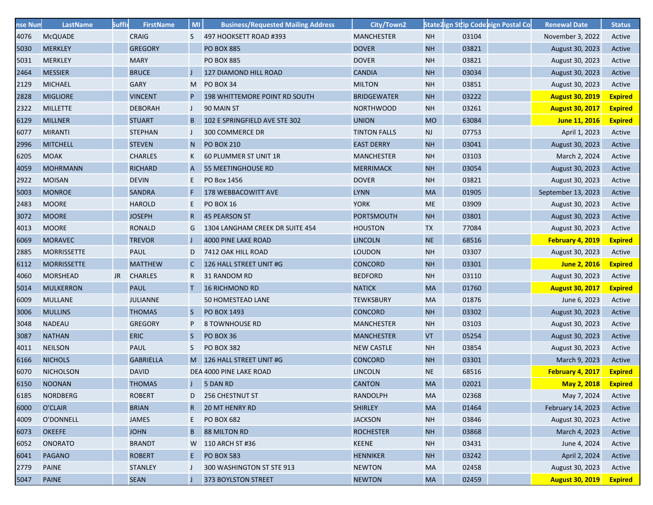| nse Num | LastName           | <b>Suffi</b> | <b>FirstName</b> | MI           | <b>Business/Requested Mailing Address</b> | City/Town2          |           | State2ign Sttip Codeeign Postal Co | <b>Renewal Date</b>    | <b>Status</b>  |
|---------|--------------------|--------------|------------------|--------------|-------------------------------------------|---------------------|-----------|------------------------------------|------------------------|----------------|
| 4076    | <b>McQUADE</b>     |              | <b>CRAIG</b>     | S.           | 497 HOOKSETT ROAD #393                    | <b>MANCHESTER</b>   | <b>NH</b> | 03104                              | November 3, 2022       | Active         |
| 5030    | <b>MERKLEY</b>     |              | <b>GREGORY</b>   |              | <b>PO BOX 885</b>                         | <b>DOVER</b>        | <b>NH</b> | 03821                              | August 30, 2023        | Active         |
| 5031    | <b>MERKLEY</b>     |              | <b>MARY</b>      |              | <b>PO BOX 885</b>                         | <b>DOVER</b>        | <b>NH</b> | 03821                              | August 30, 2023        | Active         |
| 2464    | <b>MESSIER</b>     |              | <b>BRUCE</b>     |              | 127 DIAMOND HILL ROAD                     | <b>CANDIA</b>       | <b>NH</b> | 03034                              | August 30, 2023        | Active         |
| 2129    | <b>MICHAEL</b>     |              | <b>GARY</b>      | M            | PO BOX 34                                 | <b>MILTON</b>       | <b>NH</b> | 03851                              | August 30, 2023        | Active         |
| 2828    | <b>MIGLIORE</b>    |              | <b>VINCENT</b>   | P            | 198 WHITTEMORE POINT RD SOUTH             | <b>BRIDGEWATER</b>  | <b>NH</b> | 03222                              | <b>August 30, 2019</b> | <b>Expired</b> |
| 2322    | <b>MILLETTE</b>    |              | <b>DEBORAH</b>   |              | 90 MAIN ST                                | <b>NORTHWOOD</b>    | <b>NH</b> | 03261                              | <b>August 30, 2017</b> | <b>Expired</b> |
| 6129    | <b>MILLNER</b>     |              | <b>STUART</b>    | B            | 102 E SPRINGFIELD AVE STE 302             | <b>UNION</b>        | <b>MO</b> | 63084                              | June 11, 2016          | <b>Expired</b> |
| 6077    | <b>MIRANTI</b>     |              | <b>STEPHAN</b>   |              | 300 COMMERCE DR                           | <b>TINTON FALLS</b> | <b>NJ</b> | 07753                              | April 1, 2023          | Active         |
| 2996    | <b>MITCHELL</b>    |              | <b>STEVEN</b>    | N            | <b>PO BOX 210</b>                         | <b>EAST DERRY</b>   | <b>NH</b> | 03041                              | August 30, 2023        | Active         |
| 6205    | <b>MOAK</b>        |              | <b>CHARLES</b>   | K            | 60 PLUMMER ST UNIT 1R                     | <b>MANCHESTER</b>   | <b>NH</b> | 03103                              | March 2, 2024          | Active         |
| 4059    | <b>MOHRMANN</b>    |              | <b>RICHARD</b>   | A            | <b>55 MEETINGHOUSE RD</b>                 | <b>MERRIMACK</b>    | <b>NH</b> | 03054                              | August 30, 2023        | Active         |
| 2922    | <b>MOISAN</b>      |              | <b>DEVIN</b>     | E.           | PO Box 1456                               | <b>DOVER</b>        | <b>NH</b> | 03821                              | August 30, 2023        | Active         |
| 5003    | <b>MONROE</b>      |              | <b>SANDRA</b>    | F.           | 178 WEBBACOWITT AVE                       | <b>LYNN</b>         | <b>MA</b> | 01905                              | September 13, 2023     | Active         |
| 2483    | <b>MOORE</b>       |              | <b>HAROLD</b>    | E.           | <b>PO BOX 16</b>                          | <b>YORK</b>         | <b>ME</b> | 03909                              | August 30, 2023        | Active         |
| 3072    | <b>MOORE</b>       |              | <b>JOSEPH</b>    | $\mathsf{R}$ | <b>45 PEARSON ST</b>                      | <b>PORTSMOUTH</b>   | <b>NH</b> | 03801                              | August 30, 2023        | Active         |
| 4013    | <b>MOORE</b>       |              | <b>RONALD</b>    | G            | 1304 LANGHAM CREEK DR SUITE 454           | <b>HOUSTON</b>      | <b>TX</b> | 77084                              | August 30, 2023        | Active         |
| 6069    | <b>MORAVEC</b>     |              | <b>TREVOR</b>    |              | 4000 PINE LAKE ROAD                       | <b>LINCOLN</b>      | <b>NE</b> | 68516                              | February 4, 2019       | <b>Expired</b> |
| 2885    | <b>MORRISSETTE</b> |              | <b>PAUL</b>      | D            | 7412 OAK HILL ROAD                        | <b>LOUDON</b>       | <b>NH</b> | 03307                              | August 30, 2023        | Active         |
| 6112    | <b>MORRISSETTE</b> |              | <b>MATTHEW</b>   | $\mathsf{C}$ | 126 HALL STREET UNIT #G                   | <b>CONCORD</b>      | <b>NH</b> | 03301                              | June 2, 2016           | <b>Expired</b> |
| 4060    | <b>MORSHEAD</b>    | JR.          | <b>CHARLES</b>   | R.           | 31 RANDOM RD                              | <b>BEDFORD</b>      | <b>NH</b> | 03110                              | August 30, 2023        | Active         |
| 5014    | <b>MULKERRON</b>   |              | <b>PAUL</b>      | T.           | <b>16 RICHMOND RD</b>                     | <b>NATICK</b>       | <b>MA</b> | 01760                              | <b>August 30, 2017</b> | <b>Expired</b> |
| 6009    | <b>MULLANE</b>     |              | <b>JULIANNE</b>  |              | 50 HOMESTEAD LANE                         | <b>TEWKSBURY</b>    | <b>MA</b> | 01876                              | June 6, 2023           | Active         |
| 3006    | <b>MULLINS</b>     |              | <b>THOMAS</b>    | S.           | <b>PO BOX 1493</b>                        | <b>CONCORD</b>      | <b>NH</b> | 03302                              | August 30, 2023        | Active         |
| 3048    | <b>NADEAU</b>      |              | <b>GREGORY</b>   | P            | <b>8 TOWNHOUSE RD</b>                     | <b>MANCHESTER</b>   | <b>NH</b> | 03103                              | August 30, 2023        | Active         |
| 3087    | <b>NATHAN</b>      |              | <b>ERIC</b>      | S.           | PO BOX 36                                 | <b>MANCHESTER</b>   | <b>VT</b> | 05254                              | August 30, 2023        | Active         |
| 4011    | <b>NEILSON</b>     |              | <b>PAUL</b>      | S.           | <b>PO BOX 382</b>                         | <b>NEW CASTLE</b>   | <b>NH</b> | 03854                              | August 30, 2023        | Active         |
| 6166    | <b>NICHOLS</b>     |              | <b>GABRIELLA</b> |              | M 126 HALL STREET UNIT #G                 | <b>CONCORD</b>      | <b>NH</b> | 03301                              | March 9, 2023          | Active         |
| 6070    | <b>NICHOLSON</b>   |              | <b>DAVID</b>     |              | DEA 4000 PINE LAKE ROAD                   | <b>LINCOLN</b>      | <b>NE</b> | 68516                              | February 4, 2017       | <b>Expired</b> |
| 6150    | <b>NOONAN</b>      |              | <b>THOMAS</b>    | J.           | 5 DAN RD                                  | <b>CANTON</b>       | <b>MA</b> | 02021                              | May 2, 2018            | <b>Expired</b> |
| 6185    | <b>NORDBERG</b>    |              | <b>ROBERT</b>    |              | 256 CHESTNUT ST                           | <b>RANDOLPH</b>     | MA        | 02368                              | May 7, 2024            | Active         |
| 6000    | O'CLAIR            |              | <b>BRIAN</b>     | $\mathsf{R}$ | <b>20 MT HENRY RD</b>                     | <b>SHIRLEY</b>      | <b>MA</b> | 01464                              | February 14, 2023      | Active         |
| 4009    | O'DONNELL          |              | <b>JAMES</b>     | E.           | <b>PO BOX 682</b>                         | <b>JACKSON</b>      | <b>NH</b> | 03846                              | August 30, 2023        | Active         |
| 6073    | <b>OKEEFE</b>      |              | <b>JOHN</b>      | B            | <b>88 MILTON RD</b>                       | <b>ROCHESTER</b>    | <b>NH</b> | 03868                              | March 4, 2023          | Active         |
| 6052    | <b>ONORATO</b>     |              | <b>BRANDT</b>    |              | W 110 ARCH ST #36                         | <b>KEENE</b>        | <b>NH</b> | 03431                              | June 4, 2024           | Active         |
| 6041    | <b>PAGANO</b>      |              | <b>ROBERT</b>    | Ε.           | <b>PO BOX 583</b>                         | <b>HENNIKER</b>     | <b>NH</b> | 03242                              | April 2, 2024          | Active         |
| 2779    | <b>PAINE</b>       |              | <b>STANLEY</b>   |              | 300 WASHINGTON ST STE 913                 | <b>NEWTON</b>       | <b>MA</b> | 02458                              | August 30, 2023        | Active         |
| 5047    | <b>PAINE</b>       |              | <b>SEAN</b>      |              | 373 BOYLSTON STREET                       | <b>NEWTON</b>       | <b>MA</b> | 02459                              | <b>August 30, 2019</b> | <b>Expired</b> |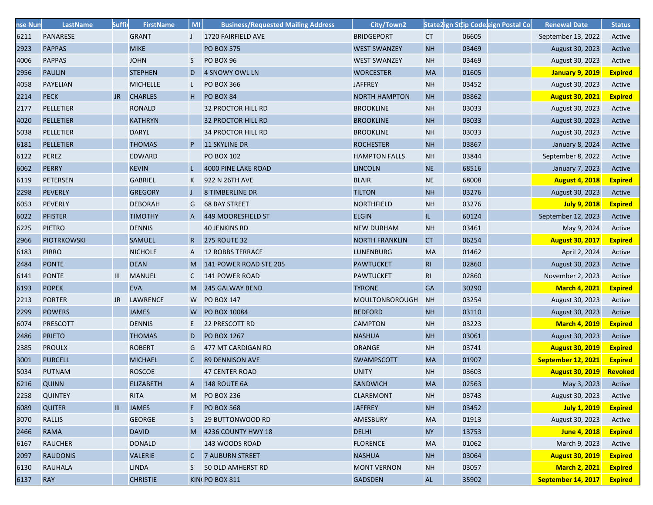| nse Num | LastName           | <b>Suffi</b> | <b>FirstName</b> | MI           | <b>Business/Requested Mailing Address</b> | City/Town2            |                |       | State2ign Sttip Codeeign Postal Co | <b>Renewal Date</b>    | <b>Status</b>  |
|---------|--------------------|--------------|------------------|--------------|-------------------------------------------|-----------------------|----------------|-------|------------------------------------|------------------------|----------------|
| 6211    | PANARESE           |              | <b>GRANT</b>     | J            | 1720 FAIRFIELD AVE                        | <b>BRIDGEPORT</b>     | <b>CT</b>      | 06605 |                                    | September 13, 2022     | Active         |
| 2923    | <b>PAPPAS</b>      |              | <b>MIKE</b>      |              | <b>PO BOX 575</b>                         | <b>WEST SWANZEY</b>   | <b>NH</b>      | 03469 |                                    | August 30, 2023        | Active         |
| 4006    | <b>PAPPAS</b>      |              | <b>JOHN</b>      | S            | PO BOX 96                                 | <b>WEST SWANZEY</b>   | <b>NH</b>      | 03469 |                                    | August 30, 2023        | Active         |
| 2956    | <b>PAULIN</b>      |              | <b>STEPHEN</b>   | D            | 4 SNOWY OWL LN                            | <b>WORCESTER</b>      | MA             | 01605 |                                    | <b>January 9, 2019</b> | <b>Expired</b> |
| 4058    | <b>PAYELIAN</b>    |              | <b>MICHELLE</b>  |              | <b>PO BOX 366</b>                         | <b>JAFFREY</b>        | <b>NH</b>      | 03452 |                                    | August 30, 2023        | Active         |
| 2214    | <b>PECK</b>        | JR.          | <b>CHARLES</b>   | H.           | PO BOX 84                                 | <b>NORTH HAMPTON</b>  | <b>NH</b>      | 03862 |                                    | <b>August 30, 2021</b> | <b>Expired</b> |
| 2177    | PELLETIER          |              | RONALD           |              | <b>32 PROCTOR HILL RD</b>                 | <b>BROOKLINE</b>      | <b>NH</b>      | 03033 |                                    | August 30, 2023        | Active         |
| 4020    | PELLETIER          |              | <b>KATHRYN</b>   |              | <b>32 PROCTOR HILL RD</b>                 | <b>BROOKLINE</b>      | <b>NH</b>      | 03033 |                                    | August 30, 2023        | Active         |
| 5038    | PELLETIER          |              | <b>DARYL</b>     |              | <b>34 PROCTOR HILL RD</b>                 | <b>BROOKLINE</b>      | <b>NH</b>      | 03033 |                                    | August 30, 2023        | Active         |
| 6181    | <b>PELLETIER</b>   |              | <b>THOMAS</b>    | P.           | <b>11 SKYLINE DR</b>                      | <b>ROCHESTER</b>      | <b>NH</b>      | 03867 |                                    | January 8, 2024        | Active         |
| 6122    | <b>PEREZ</b>       |              | <b>EDWARD</b>    |              | <b>PO BOX 102</b>                         | <b>HAMPTON FALLS</b>  | <b>NH</b>      | 03844 |                                    | September 8, 2022      | Active         |
| 6062    | <b>PERRY</b>       |              | <b>KEVIN</b>     |              | 4000 PINE LAKE ROAD                       | <b>LINCOLN</b>        | <b>NE</b>      | 68516 |                                    | January 7, 2023        | Active         |
| 6119    | <b>PETERSEN</b>    |              | <b>GABRIEL</b>   | K            | 922 N 26TH AVE                            | <b>BLAIR</b>          | <b>NE</b>      | 68008 |                                    | <b>August 4, 2018</b>  | <b>Expired</b> |
| 2298    | <b>PEVERLY</b>     |              | <b>GREGORY</b>   |              | <b>8 TIMBERLINE DR</b>                    | <b>TILTON</b>         | <b>NH</b>      | 03276 |                                    | August 30, 2023        | Active         |
| 6053    | <b>PEVERLY</b>     |              | <b>DEBORAH</b>   | G            | <b>68 BAY STREET</b>                      | <b>NORTHFIELD</b>     | <b>NH</b>      | 03276 |                                    | <b>July 9, 2018</b>    | <b>Expired</b> |
| 6022    | <b>PFISTER</b>     |              | <b>TIMOTHY</b>   | A            | 449 MOORESFIELD ST                        | <b>ELGIN</b>          | IL.            | 60124 |                                    | September 12, 2023     | Active         |
| 6225    | <b>PIETRO</b>      |              | <b>DENNIS</b>    |              | <b>40 JENKINS RD</b>                      | <b>NEW DURHAM</b>     | <b>NH</b>      | 03461 |                                    | May 9, 2024            | Active         |
| 2966    | <b>PIOTRKOWSKI</b> |              | <b>SAMUEL</b>    | $\mathsf{R}$ | <b>275 ROUTE 32</b>                       | <b>NORTH FRANKLIN</b> | CT.            | 06254 |                                    | <b>August 30, 2017</b> | <b>Expired</b> |
| 6183    | <b>PIRRO</b>       |              | <b>NICHOLE</b>   | A            | <b>12 ROBBS TERRACE</b>                   | <b>LUNENBURG</b>      | <b>MA</b>      | 01462 |                                    | April 2, 2024          | Active         |
| 2484    | <b>PONTE</b>       |              | <b>DEAN</b>      | M            | 141 POWER ROAD STE 205                    | <b>PAWTUCKET</b>      | R <sub>l</sub> | 02860 |                                    | August 30, 2023        | Active         |
| 6141    | <b>PONTE</b>       | Ш            | <b>MANUEL</b>    | C            | 141 POWER ROAD                            | <b>PAWTUCKET</b>      | RI             | 02860 |                                    | November 2, 2023       | Active         |
| 6193    | <b>POPEK</b>       |              | <b>EVA</b>       | M            | 245 GALWAY BEND                           | <b>TYRONE</b>         | <b>GA</b>      | 30290 |                                    | <b>March 4, 2021</b>   | <b>Expired</b> |
| 2213    | <b>PORTER</b>      | JR           | <b>LAWRENCE</b>  |              | W PO BOX 147                              | MOULTONBOROUGH        | <b>NH</b>      | 03254 |                                    | August 30, 2023        | Active         |
| 2299    | <b>POWERS</b>      |              | <b>JAMES</b>     | W            | <b>PO BOX 10084</b>                       | <b>BEDFORD</b>        | <b>NH</b>      | 03110 |                                    | August 30, 2023        | Active         |
| 6074    | <b>PRESCOTT</b>    |              | <b>DENNIS</b>    | E.           | 22 PRESCOTT RD                            | <b>CAMPTON</b>        | <b>NH</b>      | 03223 |                                    | <b>March 4, 2019</b>   | <b>Expired</b> |
| 2486    | <b>PRIETO</b>      |              | <b>THOMAS</b>    | D            | <b>PO BOX 1267</b>                        | <b>NASHUA</b>         | <b>NH</b>      | 03061 |                                    | August 30, 2023        | Active         |
| 2385    | <b>PROULX</b>      |              | <b>ROBERT</b>    | G            | 477 MT CARDIGAN RD                        | <b>ORANGE</b>         | <b>NH</b>      | 03741 |                                    | <b>August 30, 2019</b> | <b>Expired</b> |
| 3001    | <b>PURCELL</b>     |              | <b>MICHAEL</b>   | $\mathsf{C}$ | <b>89 DENNISON AVE</b>                    | <b>SWAMPSCOTT</b>     | MA             | 01907 |                                    | September 12, 2021     | <b>Expired</b> |
| 5034    | <b>PUTNAM</b>      |              | <b>ROSCOE</b>    |              | <b>47 CENTER ROAD</b>                     | <b>UNITY</b>          | <b>NH</b>      | 03603 |                                    | <b>August 30, 2019</b> | Revoked        |
| 6216    | QUINN              |              | <b>ELIZABETH</b> | $\mathsf{A}$ | 148 ROUTE 6A                              | <b>SANDWICH</b>       | <b>MA</b>      | 02563 |                                    | May 3, 2023            | Active         |
| 2258    | <b>QUINTEY</b>     |              | <b>RITA</b>      |              | M PO BOX 236                              | <b>CLAREMONT</b>      | <b>NH</b>      | 03743 |                                    | August 30, 2023        | Active         |
| 6089    | <b>QUITER</b>      | III          | <b>JAMES</b>     | F            | <b>PO BOX 568</b>                         | <b>JAFFREY</b>        | <b>NH</b>      | 03452 |                                    | <b>July 1, 2019</b>    | <b>Expired</b> |
| 3070    | <b>RALLIS</b>      |              | <b>GEORGE</b>    | S.           | 29 BUTTONWOOD RD                          | AMESBURY              | MA             | 01913 |                                    | August 30, 2023        | Active         |
| 2466    | <b>RAMA</b>        |              | <b>DAVID</b>     |              | M 4236 COUNTY HWY 18                      | <b>DELHI</b>          | <b>NY</b>      | 13753 |                                    | June 4, 2018           | <b>Expired</b> |
| 6167    | <b>RAUCHER</b>     |              | <b>DONALD</b>    |              | 143 WOODS ROAD                            | <b>FLORENCE</b>       | MA             | 01062 |                                    | March 9, 2023          | Active         |
| 2097    | <b>RAUDONIS</b>    |              | <b>VALERIE</b>   | C.           | <b>7 AUBURN STREET</b>                    | <b>NASHUA</b>         | <b>NH</b>      | 03064 |                                    | <b>August 30, 2019</b> | <b>Expired</b> |
| 6130    | <b>RAUHALA</b>     |              | <b>LINDA</b>     | S.           | 50 OLD AMHERST RD                         | <b>MONT VERNON</b>    | <b>NH</b>      | 03057 |                                    | <b>March 2, 2021</b>   | <b>Expired</b> |
| 6137    | <b>RAY</b>         |              | <b>CHRISTIE</b>  |              | KIN(PO BOX 811                            | <b>GADSDEN</b>        | AL             | 35902 |                                    | September 14, 2017     | <b>Expired</b> |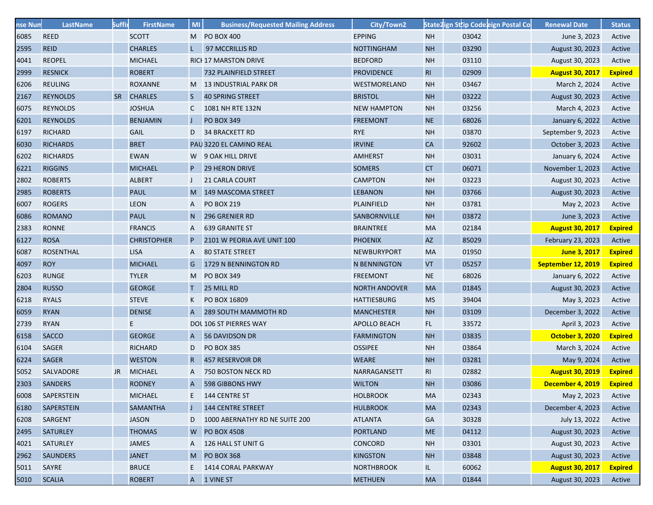| nse Num | <b>LastName</b>  | <b>Suffi</b> | <b>FirstName</b>   | MI           | <b>Business/Requested Mailing Address</b> | City/Town2           |                |       | State2ign Sttip Code eign Postal Co | <b>Renewal Date</b>    | <b>Status</b>  |
|---------|------------------|--------------|--------------------|--------------|-------------------------------------------|----------------------|----------------|-------|-------------------------------------|------------------------|----------------|
| 6085    | <b>REED</b>      |              | <b>SCOTT</b>       |              | M PO BOX 400                              | <b>EPPING</b>        | <b>NH</b>      | 03042 |                                     | June 3, 2023           | Active         |
| 2595    | <b>REID</b>      |              | <b>CHARLES</b>     |              | 97 MCCRILLIS RD                           | <b>NOTTINGHAM</b>    | <b>NH</b>      | 03290 |                                     | August 30, 2023        | Active         |
| 4041    | <b>REOPEL</b>    |              | <b>MICHAEL</b>     |              | <b>RICH 17 MARSTON DRIVE</b>              | <b>BEDFORD</b>       | <b>NH</b>      | 03110 |                                     | August 30, 2023        | Active         |
| 2999    | <b>RESNICK</b>   |              | <b>ROBERT</b>      |              | 732 PLAINFIELD STREET                     | <b>PROVIDENCE</b>    | R <sub>1</sub> | 02909 |                                     | <b>August 30, 2017</b> | <b>Expired</b> |
| 6206    | <b>REULING</b>   |              | <b>ROXANNE</b>     |              | M 13 INDUSTRIAL PARK DR                   | WESTMORELAND         | <b>NH</b>      | 03467 |                                     | March 2, 2024          | Active         |
| 2167    | <b>REYNOLDS</b>  |              | SR CHARLES         | S.           | 40 SPRING STREET                          | <b>BRISTOL</b>       | <b>NH</b>      | 03222 |                                     | August 30, 2023        | Active         |
| 6075    | <b>REYNOLDS</b>  |              | <b>JOSHUA</b>      | C            | 1081 NH RTE 132N                          | <b>NEW HAMPTON</b>   | <b>NH</b>      | 03256 |                                     | March 4, 2023          | Active         |
| 6201    | <b>REYNOLDS</b>  |              | <b>BENJAMIN</b>    |              | <b>PO BOX 349</b>                         | <b>FREEMONT</b>      | <b>NE</b>      | 68026 |                                     | January 6, 2022        | Active         |
| 6197    | <b>RICHARD</b>   |              | <b>GAIL</b>        | D            | 34 BRACKETT RD                            | <b>RYE</b>           | <b>NH</b>      | 03870 |                                     | September 9, 2023      | Active         |
| 6030    | <b>RICHARDS</b>  |              | <b>BRET</b>        |              | PAU 3220 EL CAMINO REAL                   | <b>IRVINE</b>        | CA             | 92602 |                                     | October 3, 2023        | Active         |
| 6202    | <b>RICHARDS</b>  |              | <b>EWAN</b>        |              | W 9 OAK HILL DRIVE                        | <b>AMHERST</b>       | <b>NH</b>      | 03031 |                                     | January 6, 2024        | Active         |
| 6221    | <b>RIGGINS</b>   |              | <b>MICHAEL</b>     |              | <b>29 HERON DRIVE</b>                     | <b>SOMERS</b>        | <b>CT</b>      | 06071 |                                     | November 1, 2023       | Active         |
| 2802    | <b>ROBERTS</b>   |              | <b>ALBERT</b>      | J            | <b>21 CARLA COURT</b>                     | <b>CAMPTON</b>       | <b>NH</b>      | 03223 |                                     | August 30, 2023        | Active         |
| 2985    | <b>ROBERTS</b>   |              | <b>PAUL</b>        |              | M 149 MASCOMA STREET                      | <b>LEBANON</b>       | <b>NH</b>      | 03766 |                                     | August 30, 2023        | Active         |
| 6007    | <b>ROGERS</b>    |              | LEON               | A            | <b>PO BOX 219</b>                         | <b>PLAINFIELD</b>    | <b>NH</b>      | 03781 |                                     | May 2, 2023            | Active         |
| 6086    | <b>ROMANO</b>    |              | <b>PAUL</b>        | N            | 296 GRENIER RD                            | SANBORNVILLE         | <b>NH</b>      | 03872 |                                     | June 3, 2023           | Active         |
| 2383    | <b>RONNE</b>     |              | <b>FRANCIS</b>     | A            | <b>639 GRANITE ST</b>                     | <b>BRAINTREE</b>     | <b>MA</b>      | 02184 |                                     | <b>August 30, 2017</b> | <b>Expired</b> |
| 6127    | <b>ROSA</b>      |              | <b>CHRISTOPHER</b> | P            | 2101 W PEORIA AVE UNIT 100                | <b>PHOENIX</b>       | <b>AZ</b>      | 85029 |                                     | February 23, 2023      | Active         |
| 6087    | <b>ROSENTHAL</b> |              | <b>LISA</b>        | A            | <b>80 STATE STREET</b>                    | <b>NEWBURYPORT</b>   | <b>MA</b>      | 01950 |                                     | June 3, 2017           | <b>Expired</b> |
| 4097    | <b>ROY</b>       |              | <b>MICHAEL</b>     | G            | 1729 N BENNINGTON RD                      | <b>N BENNINGTON</b>  | <b>VT</b>      | 05257 |                                     | September 12, 2019     | <b>Expired</b> |
| 6203    | <b>RUNGE</b>     |              | <b>TYLER</b>       |              | M PO BOX 349                              | <b>FREEMONT</b>      | <b>NE</b>      | 68026 |                                     | January 6, 2022        | Active         |
| 2804    | <b>RUSSO</b>     |              | <b>GEORGE</b>      | т.           | 25 MILL RD                                | <b>NORTH ANDOVER</b> | <b>MA</b>      | 01845 |                                     | August 30, 2023        | Active         |
| 6218    | <b>RYALS</b>     |              | <b>STEVE</b>       | K            | PO BOX 16809                              | <b>HATTIESBURG</b>   | <b>MS</b>      | 39404 |                                     | May 3, 2023            | Active         |
| 6059    | <b>RYAN</b>      |              | <b>DENISE</b>      | A            | <b>289 SOUTH MAMMOTH RD</b>               | <b>MANCHESTER</b>    | <b>NH</b>      | 03109 |                                     | December 3, 2022       | Active         |
| 2739    | <b>RYAN</b>      |              | E.                 |              | DOL 106 ST PIERRES WAY                    | APOLLO BEACH         | FL.            | 33572 |                                     | April 3, 2023          | Active         |
| 6158    | <b>SACCO</b>     |              | <b>GEORGE</b>      | A            | 56 DAVIDSON DR                            | <b>FARMINGTON</b>    | <b>NH</b>      | 03835 |                                     | <b>October 3, 2020</b> | <b>Expired</b> |
| 6104    | <b>SAGER</b>     |              | <b>RICHARD</b>     | D            | <b>PO BOX 385</b>                         | <b>OSSIPEE</b>       | <b>NH</b>      | 03864 |                                     | March 3, 2024          | Active         |
| 6224    | <b>SAGER</b>     |              | <b>WESTON</b>      | R            | 457 RESERVOIR DR                          | <b>WEARE</b>         | <b>NH</b>      | 03281 |                                     | May 9, 2024            | Active         |
| 5052    | SALVADORE        | JR           | <b>MICHAEL</b>     | A            | 750 BOSTON NECK RD                        | NARRAGANSETT         | RI             | 02882 |                                     | <b>August 30, 2019</b> | <b>Expired</b> |
| 2303    | <b>SANDERS</b>   |              | <b>RODNEY</b>      | A            | 598 GIBBONS HWY                           | <b>WILTON</b>        | <b>NH</b>      | 03086 |                                     | December 4, 2019       | <b>Expired</b> |
| 6008    | SAPERSTEIN       |              | <b>MICHAEL</b>     |              | E 144 CENTRE ST                           | <b>HOLBROOK</b>      | <b>MA</b>      | 02343 |                                     | May 2, 2023            | Active         |
| 6180    | SAPERSTEIN       |              | <b>SAMANTHA</b>    |              | 144 CENTRE STREET                         | <b>HULBROOK</b>      | <b>MA</b>      | 02343 |                                     | December 4, 2023       | Active         |
| 6208    | <b>SARGENT</b>   |              | <b>JASON</b>       | D            | 1000 ABERNATHY RD NE SUITE 200            | <b>ATLANTA</b>       | GA             | 30328 |                                     | July 13, 2022          | Active         |
| 2495    | <b>SATURLEY</b>  |              | <b>THOMAS</b>      |              | W PO BOX 4508                             | <b>PORTLAND</b>      | <b>ME</b>      | 04112 |                                     | August 30, 2023        | Active         |
| 4021    | SATURLEY         |              | <b>JAMES</b>       | A            | 126 HALL ST UNIT G                        | <b>CONCORD</b>       | <b>NH</b>      | 03301 |                                     | August 30, 2023        | Active         |
| 2962    | <b>SAUNDERS</b>  |              | <b>JANET</b>       | M            | <b>PO BOX 368</b>                         | <b>KINGSTON</b>      | <b>NH</b>      | 03848 |                                     | August 30, 2023        | Active         |
| 5011    | SAYRE            |              | <b>BRUCE</b>       | Ε.           | 1414 CORAL PARKWAY                        | <b>NORTHBROOK</b>    | IL.            | 60062 |                                     | <b>August 30, 2017</b> | <b>Expired</b> |
| 5010    | <b>SCALIA</b>    |              | <b>ROBERT</b>      | $\mathsf{A}$ | 1 VINE ST                                 | <b>METHUEN</b>       | MA             | 01844 |                                     | August 30, 2023        | Active         |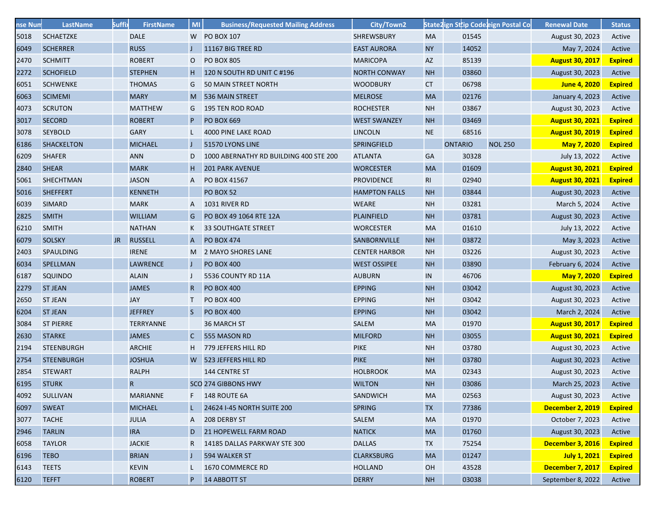| nse Num | LastName          | <b>Suffi</b> | <b>FirstName</b> | M <sub>l</sub> | <b>Business/Requested Mailing Address</b> | City/Town2           |           |                |       | State2ign Sttip Codeeign Postal Co | <b>Renewal Date</b>    | <b>Status</b>  |
|---------|-------------------|--------------|------------------|----------------|-------------------------------------------|----------------------|-----------|----------------|-------|------------------------------------|------------------------|----------------|
| 5018    | <b>SCHAETZKE</b>  |              | <b>DALE</b>      |                | W PO BOX 107                              | <b>SHREWSBURY</b>    | <b>MA</b> |                | 01545 |                                    | August 30, 2023        | Active         |
| 6049    | <b>SCHERRER</b>   |              | <b>RUSS</b>      |                | 11167 BIG TREE RD                         | <b>EAST AURORA</b>   | <b>NY</b> |                | 14052 |                                    | May 7, 2024            | Active         |
| 2470    | <b>SCHMITT</b>    |              | <b>ROBERT</b>    | 0              | <b>PO BOX 805</b>                         | <b>MARICOPA</b>      | <b>AZ</b> |                | 85139 |                                    | <b>August 30, 2017</b> | <b>Expired</b> |
| 2272    | <b>SCHOFIELD</b>  |              | <b>STEPHEN</b>   | Н.             | 120 N SOUTH RD UNIT C #196                | <b>NORTH CONWAY</b>  | <b>NH</b> |                | 03860 |                                    | August 30, 2023        | Active         |
| 6051    | <b>SCHWENKE</b>   |              | <b>THOMAS</b>    | G              | 50 MAIN STREET NORTH                      | <b>WOODBURY</b>      | CT        |                | 06798 |                                    | June 4, 2020           | <b>Expired</b> |
| 6063    | <b>SCIMEMI</b>    |              | <b>MARY</b>      | M              | 536 MAIN STREET                           | <b>MELROSE</b>       | <b>MA</b> |                | 02176 |                                    | January 4, 2023        | Active         |
| 4073    | <b>SCRUTON</b>    |              | <b>MATTHEW</b>   | G              | <b>195 TEN ROD ROAD</b>                   | <b>ROCHESTER</b>     | <b>NH</b> |                | 03867 |                                    | August 30, 2023        | Active         |
| 3017    | <b>SECORD</b>     |              | <b>ROBERT</b>    | P              | <b>PO BOX 669</b>                         | <b>WEST SWANZEY</b>  | <b>NH</b> |                | 03469 |                                    | <b>August 30, 2021</b> | <b>Expired</b> |
| 3078    | <b>SEYBOLD</b>    |              | <b>GARY</b>      |                | 4000 PINE LAKE ROAD                       | <b>LINCOLN</b>       | <b>NE</b> |                | 68516 |                                    | <b>August 30, 2019</b> | <b>Expired</b> |
| 6186    | <b>SHACKELTON</b> |              | <b>MICHAEL</b>   |                | 51570 LYONS LINE                          | SPRINGFIELD          |           | <b>ONTARIO</b> |       | <b>NOL 250</b>                     | May 7, 2020            | <b>Expired</b> |
| 6209    | <b>SHAFER</b>     |              | <b>ANN</b>       | D              | 1000 ABERNATHY RD BUILDING 400 STE 200    | <b>ATLANTA</b>       | <b>GA</b> |                | 30328 |                                    | July 13, 2022          | Active         |
| 2840    | <b>SHEAR</b>      |              | <b>MARK</b>      | H.             | <b>201 PARK AVENUE</b>                    | <b>WORCESTER</b>     | <b>MA</b> |                | 01609 |                                    | <b>August 30, 2021</b> | <b>Expired</b> |
| 5061    | <b>SHECHTMAN</b>  |              | <b>JASON</b>     | A              | PO BOX 41567                              | <b>PROVIDENCE</b>    | <b>RI</b> |                | 02940 |                                    | <b>August 30, 2021</b> | <b>Expired</b> |
| 5016    | <b>SHEFFERT</b>   |              | <b>KENNETH</b>   |                | <b>PO BOX 52</b>                          | <b>HAMPTON FALLS</b> | <b>NH</b> |                | 03844 |                                    | August 30, 2023        | Active         |
| 6039    | <b>SIMARD</b>     |              | <b>MARK</b>      | Α              | 1031 RIVER RD                             | <b>WEARE</b>         | <b>NH</b> |                | 03281 |                                    | March 5, 2024          | Active         |
| 2825    | <b>SMITH</b>      |              | <b>WILLIAM</b>   | G              | PO BOX 49 1064 RTE 12A                    | <b>PLAINFIELD</b>    | <b>NH</b> |                | 03781 |                                    | August 30, 2023        | Active         |
| 6210    | <b>SMITH</b>      |              | <b>NATHAN</b>    | K              | <b>33 SOUTHGATE STREET</b>                | <b>WORCESTER</b>     | <b>MA</b> |                | 01610 |                                    | July 13, 2022          | Active         |
| 6079    | <b>SOLSKY</b>     | JR.          | <b>RUSSELL</b>   | A              | <b>PO BOX 474</b>                         | <b>SANBORNVILLE</b>  | <b>NH</b> |                | 03872 |                                    | May 3, 2023            | Active         |
| 2403    | SPAULDING         |              | <b>IRENE</b>     |                | M 2 MAYO SHORES LANE                      | <b>CENTER HARBOR</b> | <b>NH</b> |                | 03226 |                                    | August 30, 2023        | Active         |
| 6034    | SPELLMAN          |              | LAWRENCE         |                | <b>PO BOX 400</b>                         | <b>WEST OSSIPEE</b>  | <b>NH</b> |                | 03890 |                                    | February 6, 2024       | Active         |
| 6187    | <b>SQUINDO</b>    |              | <b>ALAIN</b>     |                | 5536 COUNTY RD 11A                        | <b>AUBURN</b>        | IN        |                | 46706 |                                    | May 7, 2020            | <b>Expired</b> |
| 2279    | <b>ST JEAN</b>    |              | <b>JAMES</b>     | $\mathsf{R}$   | <b>PO BOX 400</b>                         | <b>EPPING</b>        | <b>NH</b> |                | 03042 |                                    | August 30, 2023        | Active         |
| 2650    | <b>ST JEAN</b>    |              | <b>JAY</b>       | T.             | <b>PO BOX 400</b>                         | <b>EPPING</b>        | <b>NH</b> |                | 03042 |                                    | August 30, 2023        | Active         |
| 6204    | <b>ST JEAN</b>    |              | <b>JEFFREY</b>   | S.             | <b>PO BOX 400</b>                         | <b>EPPING</b>        | <b>NH</b> |                | 03042 |                                    | March 2, 2024          | Active         |
| 3084    | <b>ST PIERRE</b>  |              | <b>TERRYANNE</b> |                | 36 MARCH ST                               | SALEM                | <b>MA</b> |                | 01970 |                                    | <b>August 30, 2017</b> | <b>Expired</b> |
| 2630    | <b>STARKE</b>     |              | <b>JAMES</b>     | $\mathsf{C}$   | 555 MASON RD                              | <b>MILFORD</b>       | <b>NH</b> |                | 03055 |                                    | <b>August 30, 2021</b> | <b>Expired</b> |
| 2194    | <b>STEENBURGH</b> |              | <b>ARCHIE</b>    | H              | 779 JEFFERS HILL RD                       | <b>PIKE</b>          | <b>NH</b> |                | 03780 |                                    | August 30, 2023        | Active         |
| 2754    | <b>STEENBURGH</b> |              | <b>JOSHUA</b>    |                | W 523 JEFFERS HILL RD                     | <b>PIKE</b>          | <b>NH</b> |                | 03780 |                                    | August 30, 2023        | Active         |
| 2854    | <b>STEWART</b>    |              | <b>RALPH</b>     |                | 144 CENTRE ST                             | <b>HOLBROOK</b>      | <b>MA</b> |                | 02343 |                                    | August 30, 2023        | Active         |
| 6195    | <b>STURK</b>      |              | R                |                | SCO 274 GIBBONS HWY                       | <b>WILTON</b>        | <b>NH</b> |                | 03086 |                                    | March 25, 2023         | Active         |
| 4092    | SULLIVAN          |              | <b>MARIANNE</b>  |                | 148 ROUTE 6A                              | SANDWICH             | MA        |                | 02563 |                                    | August 30, 2023        | Active         |
| 6097    | <b>SWEAT</b>      |              | <b>MICHAEL</b>   |                | 24624 I-45 NORTH SUITE 200                | <b>SPRING</b>        | <b>TX</b> |                | 77386 |                                    | December 2, 2019       | <b>Expired</b> |
| 3077    | <b>TACHE</b>      |              | <b>JULIA</b>     | A              | 208 DERBY ST                              | SALEM                | <b>MA</b> |                | 01970 |                                    | October 7, 2023        | Active         |
| 2946    | <b>TARLIN</b>     |              | <b>IRA</b>       | D              | <b>21 HOPEWELL FARM ROAD</b>              | <b>NATICK</b>        | <b>MA</b> |                | 01760 |                                    | August 30, 2023        | Active         |
| 6058    | <b>TAYLOR</b>     |              | <b>JACKIE</b>    | R              | 14185 DALLAS PARKWAY STE 300              | <b>DALLAS</b>        | <b>TX</b> |                | 75254 |                                    | December 3, 2016       | <b>Expired</b> |
| 6196    | <b>TEBO</b>       |              | <b>BRIAN</b>     |                | 594 WALKER ST                             | <b>CLARKSBURG</b>    | <b>MA</b> |                | 01247 |                                    | July 1, 2021           | <b>Expired</b> |
| 6143    | <b>TEETS</b>      |              | <b>KEVIN</b>     | L              | 1670 COMMERCE RD                          | <b>HOLLAND</b>       | OH        |                | 43528 |                                    | December 7, 2017       | <b>Expired</b> |
| 6120    | <b>TEFFT</b>      |              | <b>ROBERT</b>    | P.             | 14 ABBOTT ST                              | <b>DERRY</b>         | <b>NH</b> |                | 03038 |                                    | September 8, 2022      | Active         |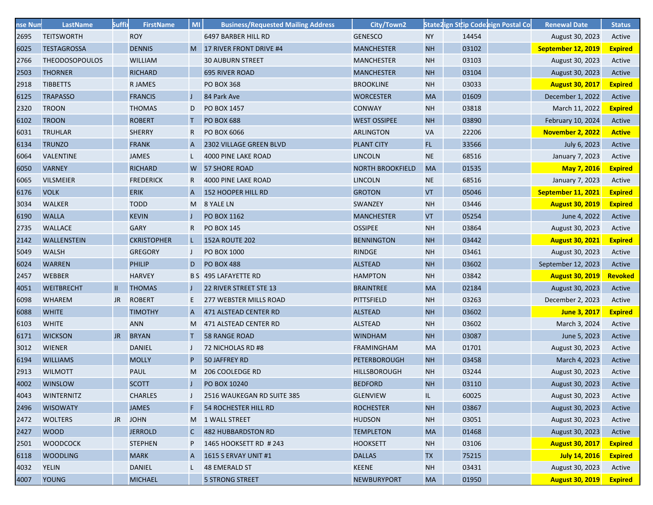| nse Num | <b>LastName</b>       | <b>Suffi</b> | <b>FirstName</b>   | MI           | <b>Business/Requested Mailing Address</b> | City/Town2              |           |       | State2ign Sttip Code eign Postal Co | <b>Renewal Date</b>    | <b>Status</b>  |
|---------|-----------------------|--------------|--------------------|--------------|-------------------------------------------|-------------------------|-----------|-------|-------------------------------------|------------------------|----------------|
| 2695    | <b>TEITSWORTH</b>     |              | <b>ROY</b>         |              | 6497 BARBER HILL RD                       | <b>GENESCO</b>          | <b>NY</b> | 14454 |                                     | August 30, 2023        | Active         |
| 6025    | <b>TESTAGROSSA</b>    |              | <b>DENNIS</b>      |              | M 17 RIVER FRONT DRIVE #4                 | <b>MANCHESTER</b>       | <b>NH</b> | 03102 |                                     | September 12, 2019     | <b>Expired</b> |
| 2766    | <b>THEODOSOPOULOS</b> |              | <b>WILLIAM</b>     |              | <b>30 AUBURN STREET</b>                   | <b>MANCHESTER</b>       | <b>NH</b> | 03103 |                                     | August 30, 2023        | Active         |
| 2503    | <b>THORNER</b>        |              | <b>RICHARD</b>     |              | <b>695 RIVER ROAD</b>                     | <b>MANCHESTER</b>       | <b>NH</b> | 03104 |                                     | August 30, 2023        | Active         |
| 2918    | <b>TIBBETTS</b>       |              | <b>RJAMES</b>      |              | <b>PO BOX 368</b>                         | <b>BROOKLINE</b>        | <b>NH</b> | 03033 |                                     | <b>August 30, 2017</b> | <b>Expired</b> |
| 6125    | <b>TRAPASSO</b>       |              | <b>FRANCIS</b>     | J            | 84 Park Ave                               | <b>WORCESTER</b>        | <b>MA</b> | 01609 |                                     | December 1, 2022       | Active         |
| 2320    | <b>TROON</b>          |              | <b>THOMAS</b>      | D            | PO BOX 1457                               | <b>CONWAY</b>           | <b>NH</b> | 03818 |                                     | March 11, 2022         | <b>Expired</b> |
| 6102    | <b>TROON</b>          |              | <b>ROBERT</b>      | т            | <b>PO BOX 688</b>                         | <b>WEST OSSIPEE</b>     | <b>NH</b> | 03890 |                                     | February 10, 2024      | Active         |
| 6031    | <b>TRUHLAR</b>        |              | <b>SHERRY</b>      | R            | <b>PO BOX 6066</b>                        | <b>ARLINGTON</b>        | <b>VA</b> | 22206 |                                     | November 2, 2022       | <b>Active</b>  |
| 6134    | <b>TRUNZO</b>         |              | <b>FRANK</b>       | A            | 2302 VILLAGE GREEN BLVD                   | <b>PLANT CITY</b>       | FL.       | 33566 |                                     | July 6, 2023           | Active         |
| 6064    | <b>VALENTINE</b>      |              | <b>JAMES</b>       |              | 4000 PINE LAKE ROAD                       | <b>LINCOLN</b>          | <b>NE</b> | 68516 |                                     | January 7, 2023        | Active         |
| 6050    | <b>VARNEY</b>         |              | <b>RICHARD</b>     |              | W 57 SHORE ROAD                           | <b>NORTH BROOKFIELD</b> | <b>MA</b> | 01535 |                                     | May 7, 2016            | <b>Expired</b> |
| 6065    | <b>VILSMEIER</b>      |              | <b>FREDERICK</b>   | R            | 4000 PINE LAKE ROAD                       | <b>LINCOLN</b>          | <b>NE</b> | 68516 |                                     | January 7, 2023        | Active         |
| 6176    | <b>VOLK</b>           |              | <b>ERIK</b>        | A            | 152 HOOPER HILL RD                        | <b>GROTON</b>           | <b>VT</b> | 05046 |                                     | September 11, 2021     | <b>Expired</b> |
| 3034    | <b>WALKER</b>         |              | <b>TODD</b>        | M.           | 8 YALE LN                                 | <b>SWANZEY</b>          | <b>NH</b> | 03446 |                                     | <b>August 30, 2019</b> | <b>Expired</b> |
| 6190    | <b>WALLA</b>          |              | <b>KEVIN</b>       |              | PO BOX 1162                               | <b>MANCHESTER</b>       | <b>VT</b> | 05254 |                                     | June 4, 2022           | Active         |
| 2735    | <b>WALLACE</b>        |              | <b>GARY</b>        | R            | <b>PO BOX 145</b>                         | <b>OSSIPEE</b>          | <b>NH</b> | 03864 |                                     | August 30, 2023        | Active         |
| 2142    | WALLENSTEIN           |              | <b>CKRISTOPHER</b> | L.           | <b>152A ROUTE 202</b>                     | <b>BENNINGTON</b>       | <b>NH</b> | 03442 |                                     | <b>August 30, 2021</b> | <b>Expired</b> |
| 5049    | <b>WALSH</b>          |              | <b>GREGORY</b>     |              | <b>PO BOX 1000</b>                        | RINDGE                  | <b>NH</b> | 03461 |                                     | August 30, 2023        | Active         |
| 6024    | <b>WARREN</b>         |              | <b>PHILIP</b>      | D            | <b>PO BOX 488</b>                         | <b>ALSTEAD</b>          | <b>NH</b> | 03602 |                                     | September 12, 2023     | Active         |
| 2457    | <b>WEBBER</b>         |              | <b>HARVEY</b>      |              | B S 495 LAFAYETTE RD                      | <b>HAMPTON</b>          | <b>NH</b> | 03842 |                                     | <b>August 30, 2019</b> | Revoked        |
| 4051    | <b>WEITBRECHT</b>     | $\mathbf{H}$ | <b>THOMAS</b>      |              | 22 RIVER STREET STE 13                    | <b>BRAINTREE</b>        | <b>MA</b> | 02184 |                                     | August 30, 2023        | Active         |
| 6098    | <b>WHAREM</b>         | JR           | <b>ROBERT</b>      | E.           | 277 WEBSTER MILLS ROAD                    | <b>PITTSFIELD</b>       | <b>NH</b> | 03263 |                                     | December 2, 2023       | Active         |
| 6088    | <b>WHITE</b>          |              | <b>TIMOTHY</b>     | A            | 471 ALSTEAD CENTER RD                     | <b>ALSTEAD</b>          | <b>NH</b> | 03602 |                                     | June 3, 2017           | <b>Expired</b> |
| 6103    | <b>WHITE</b>          |              | <b>ANN</b>         | M            | 471 ALSTEAD CENTER RD                     | <b>ALSTEAD</b>          | <b>NH</b> | 03602 |                                     | March 3, 2024          | Active         |
| 6171    | <b>WICKSON</b>        | JR.          | <b>BRYAN</b>       |              | <b>58 RANGE ROAD</b>                      | <b>WINDHAM</b>          | <b>NH</b> | 03087 |                                     | June 5, 2023           | Active         |
| 3012    | <b>WIENER</b>         |              | <b>DANIEL</b>      |              | 72 NICHOLAS RD #8                         | <b>FRAMINGHAM</b>       | <b>MA</b> | 01701 |                                     | August 30, 2023        | Active         |
| 6194    | <b>WILLIAMS</b>       |              | <b>MOLLY</b>       | P            | 50 JAFFREY RD                             | <b>PETERBOROUGH</b>     | <b>NH</b> | 03458 |                                     | March 4, 2023          | Active         |
| 2913    | <b>WILMOTT</b>        |              | <b>PAUL</b>        | M            | 206 COOLEDGE RD                           | <b>HILLSBOROUGH</b>     | <b>NH</b> | 03244 |                                     | August 30, 2023        | Active         |
| 4002    | <b>WINSLOW</b>        |              | <b>SCOTT</b>       |              | PO BOX 10240                              | <b>BEDFORD</b>          | <b>NH</b> | 03110 |                                     | August 30, 2023        | Active         |
| 4043    | <b>WINTERNITZ</b>     |              | <b>CHARLES</b>     |              | 2516 WAUKEGAN RD SUITE 385                | <b>GLENVIEW</b>         | IL.       | 60025 |                                     | August 30, 2023        | Active         |
| 2496    | <b>WISOWATY</b>       |              | <b>JAMES</b>       |              | <b>54 ROCHESTER HILL RD</b>               | <b>ROCHESTER</b>        | <b>NH</b> | 03867 |                                     | August 30, 2023        | Active         |
| 2472    | <b>WOLTERS</b>        | JR           | <b>JOHN</b>        |              | M 1 WALL STREET                           | <b>HUDSON</b>           | <b>NH</b> | 03051 |                                     | August 30, 2023        | Active         |
| 2427    | <b>WOOD</b>           |              | <b>JERROLD</b>     | $\mathsf{C}$ | 482 HUBBARDSTON RD                        | <b>TEMPLETON</b>        | <b>MA</b> | 01468 |                                     | August 30, 2023        | Active         |
| 2501    | <b>WOODCOCK</b>       |              | <b>STEPHEN</b>     | P            | 1465 HOOKSETT RD # 243                    | <b>HOOKSETT</b>         | <b>NH</b> | 03106 |                                     | <b>August 30, 2017</b> | <b>Expired</b> |
| 6118    | <b>WOODLING</b>       |              | <b>MARK</b>        | A            | <b>1615 S ERVAY UNIT #1</b>               | <b>DALLAS</b>           | <b>TX</b> | 75215 |                                     | July 14, 2016          | <b>Expired</b> |
| 4032    | <b>YELIN</b>          |              | <b>DANIEL</b>      |              | <b>48 EMERALD ST</b>                      | <b>KEENE</b>            | <b>NH</b> | 03431 |                                     | August 30, 2023        | Active         |
| 4007    | <b>YOUNG</b>          |              | <b>MICHAEL</b>     |              | <b>5 STRONG STREET</b>                    | <b>NEWBURYPORT</b>      | <b>MA</b> | 01950 |                                     | <b>August 30, 2019</b> | <b>Expired</b> |